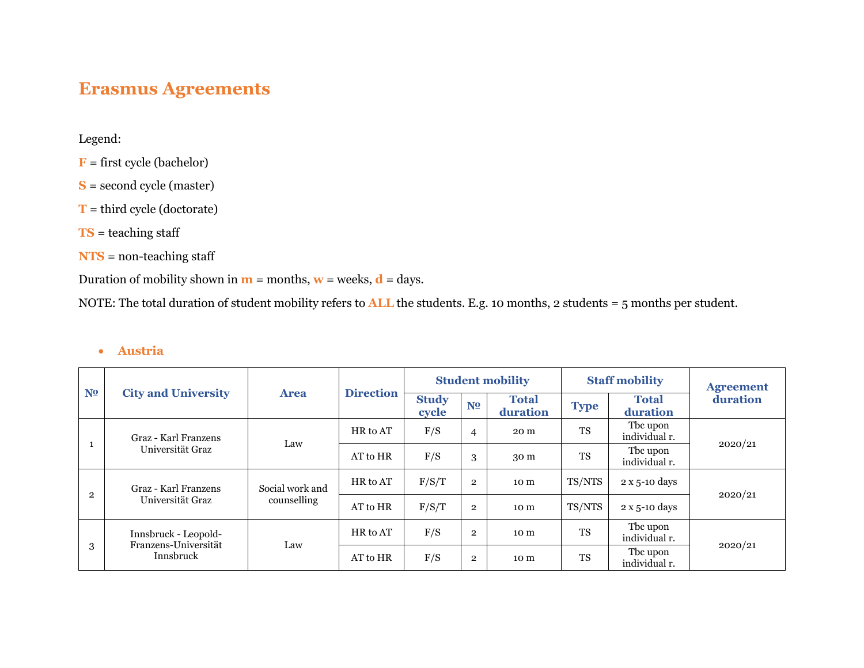# **Erasmus Agreements**

Legend:

- **F** = first cycle (bachelor)
- **S** = second cycle (master)
- **T** = third cycle (doctorate)
- **TS** = teaching staff
- **NTS** = non-teaching staff

Duration of mobility shown in  $\mathbf{m}$  = months,  $\mathbf{w}$  = weeks,  $\mathbf{d}$  = days.

NOTE: The total duration of student mobility refers to **ALL** the students. E.g. 10 months, 2 students = 5 months per student.

#### • **Austria**

|                |                                              |                 |                  |                       |                | <b>Student mobility</b>  |             | <b>Staff mobility</b>     | <b>Agreement</b> |  |
|----------------|----------------------------------------------|-----------------|------------------|-----------------------|----------------|--------------------------|-------------|---------------------------|------------------|--|
| N <sub>2</sub> | <b>City and University</b>                   | <b>Area</b>     | <b>Direction</b> | <b>Study</b><br>cycle | N <sub>2</sub> | <b>Total</b><br>duration | <b>Type</b> | <b>Total</b><br>duration  | duration         |  |
|                | Graz - Karl Franzens                         | Law             | HR to AT         | F/S                   | 4              | 20 m                     | <b>TS</b>   | The upon<br>individual r. |                  |  |
|                | Universität Graz                             |                 | AT to HR         | F/S                   | 3              | 30 m                     | <b>TS</b>   | Tbc upon<br>individual r. | 2020/21          |  |
| $\overline{2}$ | Graz - Karl Franzens                         | Social work and | HR to AT         | F/S/T                 | $\overline{2}$ | 10 m                     | TS/NTS      | 2 x 5-10 days             | 2020/21          |  |
|                | Universität Graz                             | counselling     | AT to HR         | F/S/T                 | $\overline{2}$ | 10 m                     | TS/NTS      | $2 \times 5$ -10 days     |                  |  |
|                | Innsbruck - Leopold-<br>Franzens-Universität | Law             | HR to AT         | F/S                   | $\overline{2}$ | 10 <sub>m</sub>          | <b>TS</b>   | Tbc upon<br>individual r. |                  |  |
| 3              | Innsbruck                                    |                 | AT to HR         | F/S                   | $\overline{2}$ | 10 m                     | <b>TS</b>   | The upon<br>individual r. | 2020/21          |  |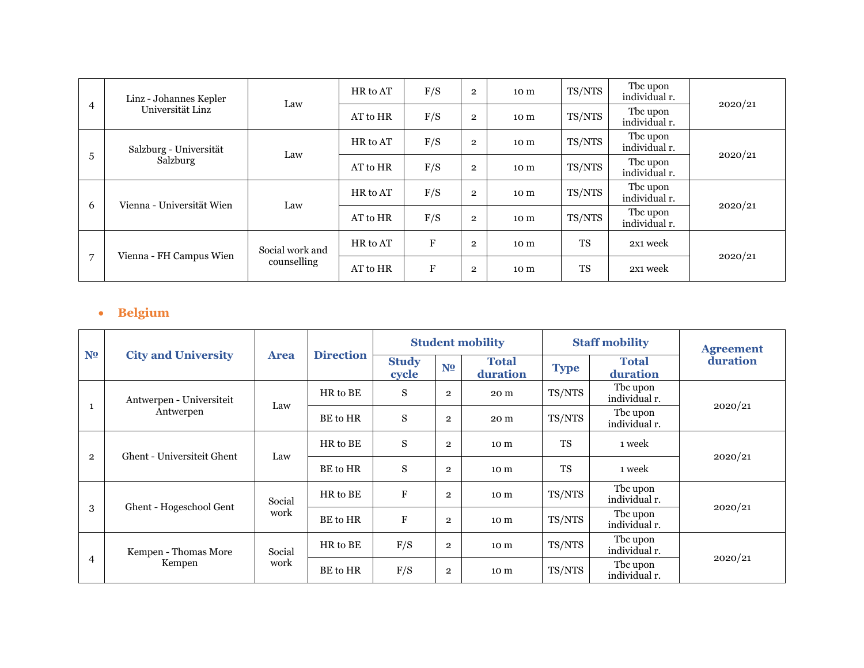|                | Linz - Johannes Kepler             |                 | HR to AT | F/S       | $\overline{2}$ | 10 <sub>m</sub> | TS/NTS    | Tbc upon<br>individual r. | 2020/21 |
|----------------|------------------------------------|-----------------|----------|-----------|----------------|-----------------|-----------|---------------------------|---------|
| 4              | Universität Linz                   | Law             | AT to HR | F/S       | $\overline{2}$ | 10 <sub>m</sub> | TS/NTS    | The upon<br>individual r. |         |
|                | Salzburg - Universität<br>Salzburg | Law             | HR to AT | F/S       | $\overline{2}$ | 10 <sub>m</sub> | TS/NTS    | The upon<br>individual r. |         |
| 5              |                                    |                 | AT to HR | F/S       | $\overline{2}$ | 10 <sub>m</sub> | TS/NTS    | Tbc upon<br>individual r. | 2020/21 |
| 6              | Vienna - Universität Wien          | Law             | HR to AT | F/S       | $\overline{2}$ | 10 <sub>m</sub> | TS/NTS    | Tbc upon<br>individual r. |         |
|                |                                    |                 | AT to HR | F/S       | $\overline{2}$ | 10 m            | TS/NTS    | Tbc upon<br>individual r. | 2020/21 |
|                |                                    | Social work and | HR to AT | ${\bf F}$ | $\mathbf{2}$   | 10 m            | <b>TS</b> | 2x1 week                  |         |
| $\overline{7}$ | Vienna - FH Campus Wien            | counselling     |          | $\rm F$   | $\mathbf{2}$   | 10 m            | <b>TS</b> | 2x1 week                  | 2020/21 |

## • **Belgium**

|                |                            |             |                  |                           |                | <b>Student mobility</b>  |             | <b>Staff mobility</b>     | <b>Agreement</b> |  |
|----------------|----------------------------|-------------|------------------|---------------------------|----------------|--------------------------|-------------|---------------------------|------------------|--|
| N <sub>2</sub> | <b>City and University</b> | <b>Area</b> | <b>Direction</b> | <b>Study</b><br>cycle     | N <sub>0</sub> | <b>Total</b><br>duration | <b>Type</b> | <b>Total</b><br>duration  | duration         |  |
|                | Antwerpen - Universiteit   | Law         | HR to BE         | S                         | $\overline{2}$ | 20 m                     | TS/NTS      | The upon<br>individual r. |                  |  |
|                | Antwerpen                  |             | BE to HR         | ${\bf S}$                 | $\mathbf{2}$   | 20 m                     | TS/NTS      | The upon<br>individual r. | 2020/21          |  |
| $\overline{2}$ | Ghent - Universiteit Ghent | Law         | HR to BE         | S                         | $\overline{2}$ | 10 <sub>m</sub>          | <b>TS</b>   | 1 week                    | 2020/21          |  |
|                |                            |             | BE to HR         | S                         | $\overline{2}$ | 10 <sub>m</sub>          | <b>TS</b>   | 1 week                    |                  |  |
|                |                            | Social      | HR to BE         | $\boldsymbol{\mathrm{F}}$ | $\mathbf{2}$   | 10 m                     | TS/NTS      | The upon<br>individual r. |                  |  |
| 3              | Ghent - Hogeschool Gent    | work        | BE to HR         | $\boldsymbol{\mathrm{F}}$ | $\mathbf{2}$   | 10 m                     | TS/NTS      | The upon<br>individual r. | 2020/21          |  |
|                | Kempen - Thomas More       | Social      | HR to BE         | F/S                       | $\mathbf{2}$   | 10 <sub>m</sub>          | TS/NTS      | The upon<br>individual r. |                  |  |
| 4              | Kempen                     | work        | BE to HR         | F/S                       | $\mathbf{2}$   | 10 <sub>m</sub>          | TS/NTS      | Tbc upon<br>individual r. | 2020/21          |  |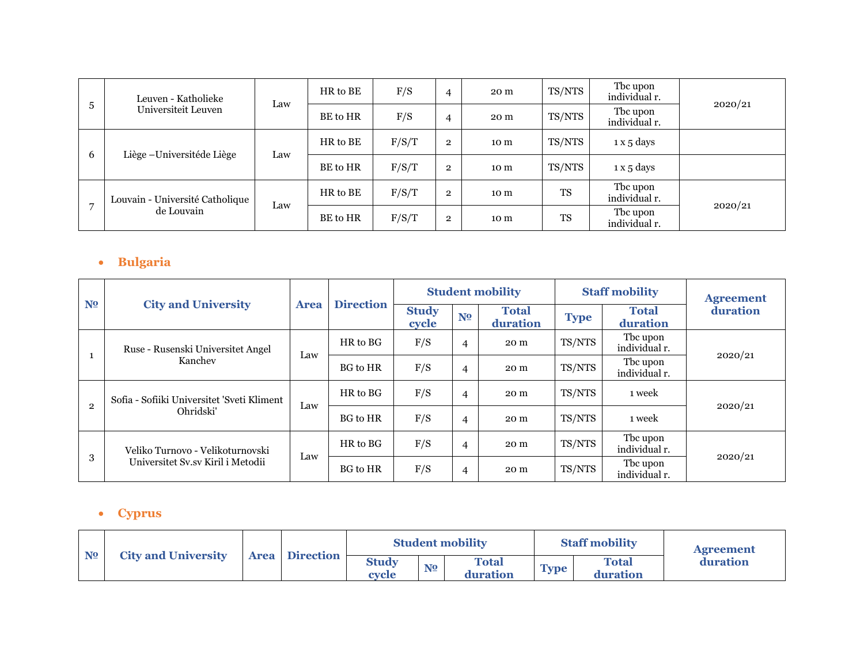|   | Leuven - Katholieke             |     | HR to BE | F/S   | 4              | 20 m | TS/NTS    | The upon<br>individual r. | 2020/21 |
|---|---------------------------------|-----|----------|-------|----------------|------|-----------|---------------------------|---------|
| 5 | Universiteit Leuven             | Law | BE to HR | F/S   | 4              | 20 m | TS/NTS    | The upon<br>individual r. |         |
|   | Liège - Universitéde Liège<br>6 | Law | HR to BE | F/S/T | $\overline{2}$ | 10 m | TS/NTS    | 1 x 5 days                |         |
|   |                                 |     | BE to HR | F/S/T | $\overline{2}$ | 10 m | TS/NTS    | 1 x 5 days                |         |
|   | Louvain - Université Catholique |     | HR to BE | F/S/T | $\overline{2}$ | 10 m | <b>TS</b> | The upon<br>individual r. |         |
|   | de Louvain                      | Law | BE to HR | F/S/T | $\overline{2}$ | 10 m | <b>TS</b> | The upon<br>individual r. | 2020/21 |

## • **Bulgaria**

|                |                                            |             |                  |                       |                | <b>Student mobility</b>  |             | <b>Staff mobility</b>     | <b>Agreement</b> |   |      |        |        |         |
|----------------|--------------------------------------------|-------------|------------------|-----------------------|----------------|--------------------------|-------------|---------------------------|------------------|---|------|--------|--------|---------|
| N <sub>2</sub> | <b>City and University</b>                 | <b>Area</b> | <b>Direction</b> | <b>Study</b><br>cycle | N <sub>2</sub> | <b>Total</b><br>duration | <b>Type</b> | <b>Total</b><br>duration  | duration         |   |      |        |        |         |
|                | Ruse - Rusenski Universitet Angel          |             | HR to BG         | F/S                   | 4              | 20 m                     | TS/NTS      | Tbc upon<br>individual r. |                  |   |      |        |        |         |
|                | Kanchev                                    | Law         | <b>BG</b> to HR  | F/S                   | $\overline{4}$ | 20 m                     | TS/NTS      | Tbc upon<br>individual r. | 2020/21          |   |      |        |        |         |
|                | Sofia - Sofiiki Universitet 'Sveti Kliment |             | HR to BG         | F/S                   | 4              | 20 m                     | TS/NTS      | 1 week                    |                  |   |      |        |        |         |
| $\overline{2}$ | Ohridski'                                  |             |                  |                       |                | Law                      |             | <b>BG</b> to HR           | F/S              | 4 | 20 m | TS/NTS | 1 week | 2020/21 |
|                | Veliko Turnovo - Velikoturnovski           |             | HR to BG         | F/S                   | 4              | 20 m                     | TS/NTS      | The upon<br>individual r. |                  |   |      |        |        |         |
| 3              | Universitet Sv.sv Kiril i Metodii          | Law         | <b>BG</b> to HR  | F/S                   | 4              | 20 m                     | TS/NTS      | Tbc upon<br>individual r. | 2020/21          |   |      |        |        |         |

## • **Cyprus**

|                | <b>City and University</b> |  | <b>Area</b> Direction |                       |                | <b>Student mobility</b>  |             | <b>Staff mobility</b> | <b>Agreement</b> |
|----------------|----------------------------|--|-----------------------|-----------------------|----------------|--------------------------|-------------|-----------------------|------------------|
| N <sub>2</sub> |                            |  |                       | <b>Study</b><br>cvcle | N <sub>2</sub> | <b>Total</b><br>duration | <b>Type</b> | Total<br>duration     | duration         |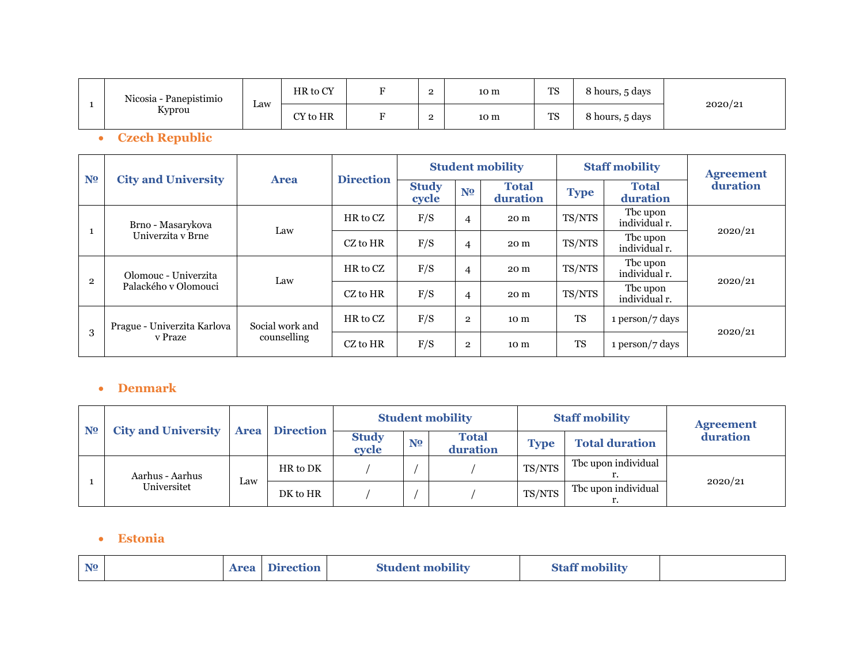| Nicosia - Panepistimio |     | HR to CY | $\mathbf{\mathbf{\mathbf{\mathbf{\mathbf{m}}}}}$ | $\Omega$ | 10 m | <b>TS</b> | 8 hours, 5 days |         |
|------------------------|-----|----------|--------------------------------------------------|----------|------|-----------|-----------------|---------|
| Kyprou                 | Law | CY to HR | ÷                                                | $\Omega$ | 10 m | <b>TS</b> | 8 hours, 5 days | 2020/21 |

• **Czech Republic**

|                |                                              |                 |                  |                       |                | <b>Student mobility</b>  |             | <b>Staff mobility</b>     | <b>Agreement</b> |  |
|----------------|----------------------------------------------|-----------------|------------------|-----------------------|----------------|--------------------------|-------------|---------------------------|------------------|--|
| N <sub>2</sub> | <b>City and University</b>                   | <b>Area</b>     | <b>Direction</b> | <b>Study</b><br>cycle | N <sub>2</sub> | <b>Total</b><br>duration | <b>Type</b> | <b>Total</b><br>duration  | duration         |  |
|                | Brno - Masarykova                            | Law             | HR to CZ         | F/S                   | $\overline{4}$ | 20 m                     | TS/NTS      | The upon<br>individual r. |                  |  |
|                | Univerzita y Brne                            |                 | CZ to HR         | F/S                   | $\overline{4}$ | 20 m                     | TS/NTS      | Tbc upon<br>individual r. | 2020/21          |  |
| $\overline{2}$ | Olomouc - Univerzita<br>Palackého v Olomouci | Law             | HR to CZ         | F/S                   | $\overline{4}$ | 20 m                     | TS/NTS      | Tbc upon<br>individual r. | 2020/21          |  |
|                |                                              |                 | CZ to HR         | F/S                   | $\overline{4}$ | 20 m                     | TS/NTS      | Tbc upon<br>individual r. |                  |  |
|                | Prague - Univerzita Karlova                  | Social work and | HR to CZ         | F/S                   | $\overline{2}$ | 10 <sub>m</sub>          | <b>TS</b>   | 1 person/7 days           |                  |  |
| 3              | v Praze                                      | counselling     | CZ to HR         | F/S                   | $\overline{2}$ | 10 m                     | <b>TS</b>   | 1 person/7 days           | 2020/21          |  |

#### • **Denmark**

|                |                                |     |                       |                       |                | <b>Student mobility</b> |             | <b>Staff mobility</b> | <b>Agreement</b> |  |
|----------------|--------------------------------|-----|-----------------------|-----------------------|----------------|-------------------------|-------------|-----------------------|------------------|--|
| N <sub>2</sub> | <b>City and University</b>     |     | <b>Area</b> Direction | <b>Study</b><br>cycle | N <sub>2</sub> | Total<br>duration       | <b>Type</b> | <b>Total duration</b> | duration         |  |
|                | Aarhus - Aarhus<br>Universitet |     | HR to DK              |                       |                |                         | TS/NTS      | Tbc upon individual   |                  |  |
|                |                                | Law | DK to HR              |                       |                |                         | TS/NTS      | The upon individual   | 2020/21          |  |

#### • **Estonia**

| <b>Staff mobility</b><br><b>Student mobility</b><br>N <sub>2</sub><br><b>Direction</b><br>Area |  |
|------------------------------------------------------------------------------------------------|--|
|------------------------------------------------------------------------------------------------|--|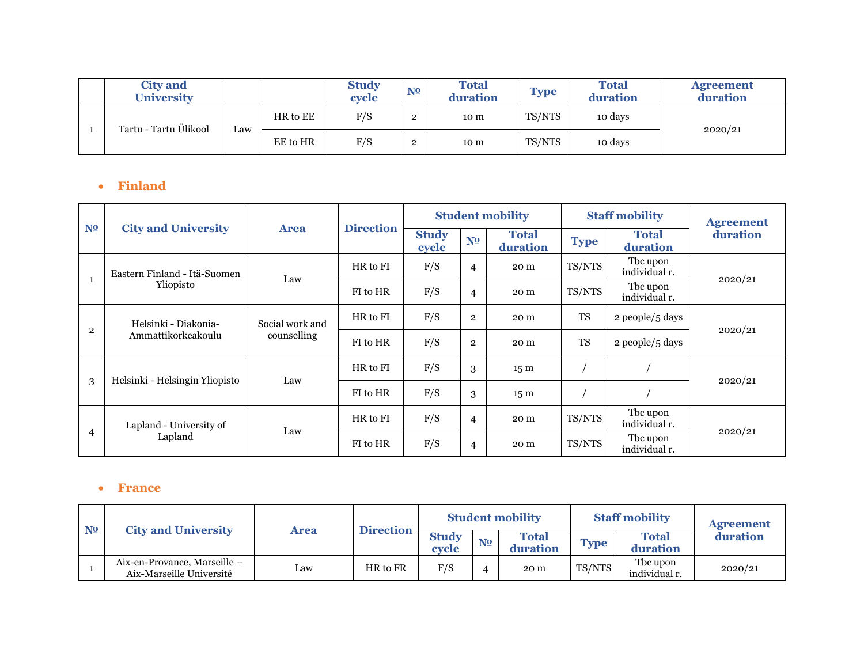| <b>City and</b><br><b>University</b> |     |          | <b>Study</b><br>cycle | N <sub>2</sub> | <b>Total</b><br>duration | <b>Type</b> | <b>Total</b><br>duration | <b>Agreement</b><br>duration |
|--------------------------------------|-----|----------|-----------------------|----------------|--------------------------|-------------|--------------------------|------------------------------|
| Tartu - Tartu Ülikool                | Law | HR to EE | F/S                   | ∼              | 10 m                     | TS/NTS      | 10 days                  |                              |
|                                      |     | EE to HR | F/S                   | $\overline{2}$ | 10 m                     | TS/NTS      | 10 days                  | 2020/21                      |

## • **Finland**

|                |                                |                 |                  |                       |                | <b>Student mobility</b>  |             | <b>Staff mobility</b>     | <b>Agreement</b> |  |
|----------------|--------------------------------|-----------------|------------------|-----------------------|----------------|--------------------------|-------------|---------------------------|------------------|--|
| N <sub>2</sub> | <b>City and University</b>     | <b>Area</b>     | <b>Direction</b> | <b>Study</b><br>cycle | N <sub>2</sub> | <b>Total</b><br>duration | <b>Type</b> | <b>Total</b><br>duration  | duration         |  |
| $\mathbf{1}$   | Eastern Finland - Itä-Suomen   | Law             | HR to FI         | F/S                   | $\overline{4}$ | 20 m                     | TS/NTS      | The upon<br>individual r. |                  |  |
|                | Yliopisto                      |                 | FI to HR         | F/S                   | $\overline{4}$ | 20 m                     | TS/NTS      | The upon<br>individual r. | 2020/21          |  |
|                | Helsinki - Diakonia-           | Social work and | HR to FI         | F/S                   | $\overline{2}$ | 20 m                     | <b>TS</b>   | 2 people/5 days           | 2020/21          |  |
| $\mathbf{2}$   | Ammattikorkeakoulu             | counselling     | FI to HR         | F/S                   | $\overline{2}$ | 20 m                     | <b>TS</b>   | 2 people/5 days           |                  |  |
|                |                                |                 | HR to FI         | F/S                   | 3              | 15 <sub>m</sub>          |             |                           |                  |  |
| 3              | Helsinki - Helsingin Yliopisto | Law             | FI to HR         | F/S                   | 3              | 15 <sub>m</sub>          |             |                           | 2020/21          |  |
|                | Lapland - University of        |                 | HR to FI         | F/S                   | $\overline{4}$ | 20 m                     | TS/NTS      | The upon<br>individual r. |                  |  |
| 4              | Lapland                        | Law             | FI to HR         | F/S                   | $\overline{4}$ | 20 m                     | TS/NTS      | The upon<br>individual r. | 2020/21          |  |

#### • **France**

| N <sub>2</sub> | <b>City and University</b>                               |      |                  |                       |                | <b>Student mobility</b>  |             | <b>Staff mobility</b>     | <b>Agreement</b> |
|----------------|----------------------------------------------------------|------|------------------|-----------------------|----------------|--------------------------|-------------|---------------------------|------------------|
|                |                                                          | Area | <b>Direction</b> | <b>Study</b><br>cvcle | N <sub>2</sub> | <b>Total</b><br>duration | <b>Type</b> | <b>Total</b><br>duration  | duration         |
|                | Aix-en-Provance, Marseille –<br>Aix-Marseille Université | Law  | HR to FR         | F/S                   |                | 20 m                     | TS/NTS      | The upon<br>individual r. | 2020/21          |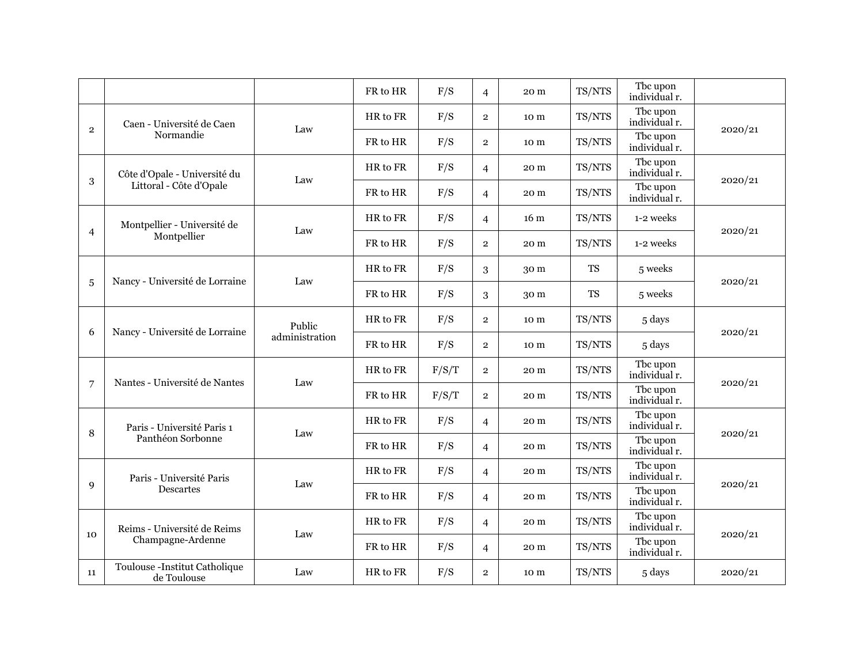|                |                                              |                | FR to HR | F/S   | $\overline{4}$ | 20 m            | TS/NTS    | Tbc upon<br>individual r. |         |
|----------------|----------------------------------------------|----------------|----------|-------|----------------|-----------------|-----------|---------------------------|---------|
|                | Caen - Université de Caen                    | Law            | HR to FR | F/S   | $\overline{2}$ | 10 m            | TS/NTS    | The upon<br>individual r. |         |
| $\overline{2}$ | Normandie                                    |                | FR to HR | F/S   | $\overline{2}$ | 10 m            | TS/NTS    | Tbc upon<br>individual r. | 2020/21 |
|                | Côte d'Opale - Université du                 | Law            | HR to FR | F/S   | $\overline{4}$ | 20 m            | TS/NTS    | Tbc upon<br>individual r. | 2020/21 |
| 3              | Littoral - Côte d'Opale                      |                | FR to HR | F/S   | $\overline{4}$ | 20 m            | TS/NTS    | The upon<br>individual r. |         |
|                | Montpellier - Université de                  | Law            | HR to FR | F/S   | $\overline{4}$ | 16 <sub>m</sub> | TS/NTS    | 1-2 weeks                 | 2020/21 |
| $\overline{4}$ | Montpellier                                  |                | FR to HR | F/S   | $\overline{2}$ | 20 m            | TS/NTS    | 1-2 weeks                 |         |
|                | Nancy - Université de Lorraine               | Law            | HR to FR | F/S   | 3              | 30 m            | <b>TS</b> | 5 weeks                   | 2020/21 |
| $\overline{5}$ |                                              |                | FR to HR | F/S   | 3              | 30 m            | <b>TS</b> | 5 weeks                   |         |
| 6              | Nancy - Université de Lorraine               | Public         | HR to FR | F/S   | $\overline{2}$ | 10 m            | TS/NTS    | 5 days                    | 2020/21 |
|                |                                              | administration | FR to HR | F/S   | $\overline{2}$ | 10 m            | TS/NTS    | 5 days                    |         |
|                | Nantes - Université de Nantes                | Law            | HR to FR | F/S/T | $\overline{2}$ | 20 m            | TS/NTS    | The upon<br>individual r. | 2020/21 |
| $\overline{7}$ |                                              |                | FR to HR | F/S/T | $\overline{2}$ | 20 m            | TS/NTS    | The upon<br>individual r. |         |
| 8              | Paris - Université Paris 1                   | Law            | HR to FR | F/S   | $\overline{4}$ | 20 m            | TS/NTS    | The upon<br>individual r. | 2020/21 |
|                | Panthéon Sorbonne                            |                | FR to HR | F/S   | $\overline{4}$ | 20 m            | TS/NTS    | Tbc upon<br>individual r. |         |
|                | Paris - Université Paris                     | Law            | HR to FR | F/S   | $\overline{4}$ | 20 m            | TS/NTS    | The upon<br>individual r. | 2020/21 |
| $\mathbf{Q}$   | Descartes                                    |                | FR to HR | F/S   | $\overline{4}$ | 20 m            | TS/NTS    | The upon<br>individual r. |         |
|                | Reims - Université de Reims                  | Law            | HR to FR | F/S   | $\overline{4}$ | 20 m            | TS/NTS    | Tbc upon<br>individual r. |         |
| 10             | Champagne-Ardenne                            |                | FR to HR | F/S   | $\overline{4}$ | 20 m            | TS/NTS    | Tbc upon<br>individual r. | 2020/21 |
| 11             | Toulouse -Institut Catholique<br>de Toulouse | Law            | HR to FR | F/S   | $\overline{2}$ | 10 <sub>m</sub> | TS/NTS    | 5 days                    | 2020/21 |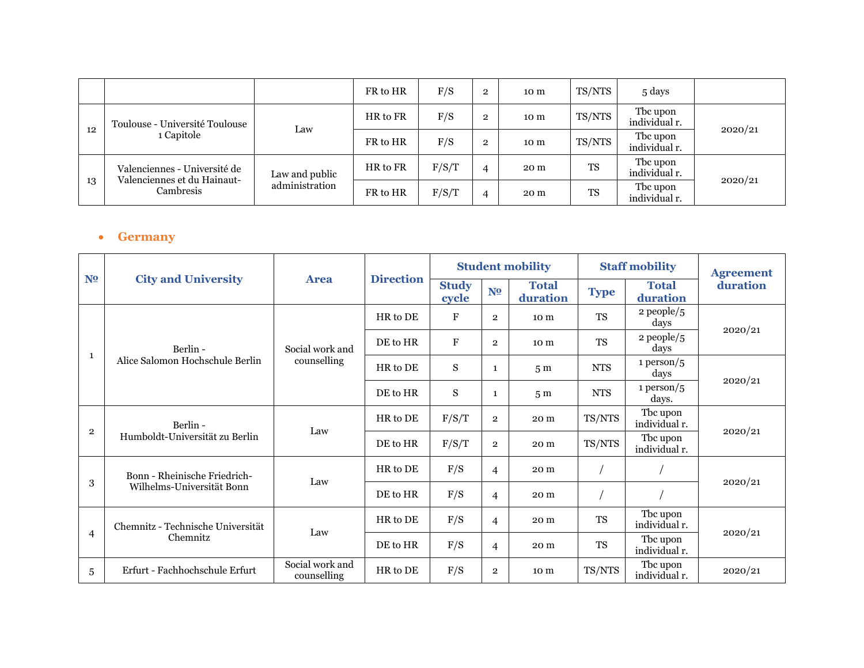|    |                                                             |                | FR to HR | F/S   | $\mathbf{2}$   | 10 <sub>m</sub> | TS/NTS    | 5 days                    |         |
|----|-------------------------------------------------------------|----------------|----------|-------|----------------|-----------------|-----------|---------------------------|---------|
|    | Toulouse - Université Toulouse                              | Law            | HR to FR | F/S   | $\overline{2}$ | 10 m            | TS/NTS    | The upon<br>individual r. |         |
| 12 | 1 Capitole                                                  |                | FR to HR | F/S   | $\mathbf{2}$   | 10 m            | TS/NTS    | The upon<br>individual r. | 2020/21 |
|    | Valenciennes - Université de<br>Valenciennes et du Hainaut- | Law and public | HR to FR | F/S/T |                | 20 m            | TS        | The upon<br>individual r. |         |
| 13 | Cambresis                                                   | administration | FR to HR | F/S/T | 4              | 20 m            | <b>TS</b> | The upon<br>individual r. | 2020/21 |

#### • **Germany**

|                         |                                   |                                |                  |                       |                | <b>Student mobility</b>  |             | <b>Staff mobility</b>     | <b>Agreement</b> |
|-------------------------|-----------------------------------|--------------------------------|------------------|-----------------------|----------------|--------------------------|-------------|---------------------------|------------------|
| N <sub>2</sub>          | <b>City and University</b>        | <b>Area</b>                    | <b>Direction</b> | <b>Study</b><br>cycle | N <sub>2</sub> | <b>Total</b><br>duration | <b>Type</b> | <b>Total</b><br>duration  | duration         |
|                         |                                   |                                | HR to DE         | F                     | $\overline{2}$ | 10 m                     | <b>TS</b>   | $2$ people/ $5$<br>days   | 2020/21          |
|                         | Berlin -                          | Social work and                | DE to HR         | $\mathbf{F}$          | $\overline{2}$ | 10 m                     | <b>TS</b>   | $2$ people/ $5$<br>days   |                  |
| 1                       | Alice Salomon Hochschule Berlin   | counselling                    | HR to DE         | S                     | $\mathbf{1}$   | 5 <sub>m</sub>           | <b>NTS</b>  | 1 person/ $5$<br>days     | 2020/21          |
|                         |                                   |                                | DE to HR         | S                     | 1              | 5 <sub>m</sub>           | <b>NTS</b>  | 1 person/ $5$<br>days.    |                  |
|                         | Berlin -                          | Law                            | HR to DE         | F/S/T                 | $\overline{2}$ | 20 m                     | TS/NTS      | The upon<br>individual r. | 2020/21          |
| $\overline{\mathbf{2}}$ | Humboldt-Universität zu Berlin    |                                | DE to HR         | F/S/T                 | $\overline{2}$ | 20 m                     | TS/NTS      | Tbc upon<br>individual r. |                  |
|                         | Bonn - Rheinische Friedrich-      | Law                            | HR to DE         | F/S                   | $\overline{4}$ | 20 m                     |             |                           |                  |
| 3                       | Wilhelms-Universität Bonn         |                                | DE to HR         | F/S                   | $\overline{4}$ | 20 m                     |             |                           | 2020/21          |
|                         | Chemnitz - Technische Universität |                                | HR to DE         | F/S                   | $\overline{4}$ | 20 m                     | <b>TS</b>   | The upon<br>individual r. |                  |
| $\overline{4}$          | Chemnitz                          | Law                            | DE to HR         | F/S                   | $\overline{4}$ | 20 m                     | <b>TS</b>   | The upon<br>individual r. | 2020/21          |
| 5                       | Erfurt - Fachhochschule Erfurt    | Social work and<br>counselling | HR to DE         | F/S                   | $\overline{2}$ | 10 m                     | TS/NTS      | The upon<br>individual r. | 2020/21          |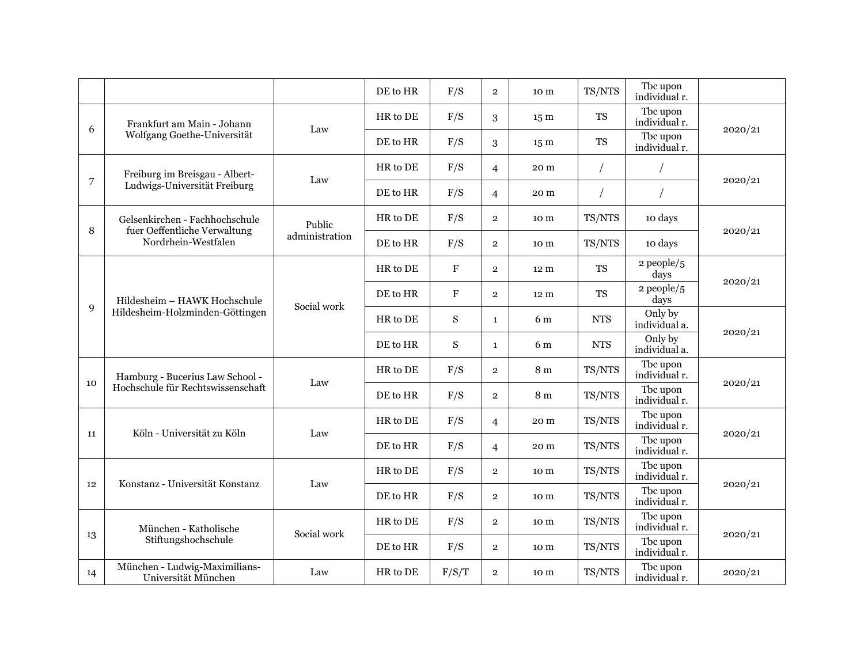|                |                                                                |                | DE to HR | F/S         | $\overline{2}$ | 10 m            | TS/NTS     | Tbc upon<br>individual r. |         |
|----------------|----------------------------------------------------------------|----------------|----------|-------------|----------------|-----------------|------------|---------------------------|---------|
| 6              | Frankfurt am Main - Johann                                     | Law            | HR to DE | F/S         | 3              | 15 <sub>m</sub> | <b>TS</b>  | The upon<br>individual r. | 2020/21 |
|                | Wolfgang Goethe-Universität                                    |                | DE to HR | F/S         | 3              | 15 <sub>m</sub> | <b>TS</b>  | The upon<br>individual r. |         |
|                | Freiburg im Breisgau - Albert-                                 | Law            | HR to DE | F/S         | $\overline{4}$ | 20 m            |            |                           | 2020/21 |
| $\overline{7}$ | Ludwigs-Universität Freiburg                                   |                | DE to HR | F/S         | $\overline{4}$ | 20 m            | $\bigg)$   | $\sqrt{2}$                |         |
| 8              | Gelsenkirchen - Fachhochschule<br>fuer Oeffentliche Verwaltung | Public         | HR to DE | F/S         | $\overline{2}$ | 10 m            | TS/NTS     | 10 days                   | 2020/21 |
|                | Nordrhein-Westfalen                                            | administration | DE to HR | F/S         | $\overline{2}$ | 10 m            | TS/NTS     | 10 days                   |         |
|                |                                                                |                | HR to DE | $\mathbf F$ | $\overline{2}$ | 12 m            | <b>TS</b>  | $2$ people/ $5$<br>days   | 2020/21 |
|                | Hildesheim - HAWK Hochschule                                   | Social work    | DE to HR | $\mathbf F$ | $\overline{2}$ | 12 m            | <b>TS</b>  | $2$ people/ $5$<br>days   |         |
| 9              | Hildesheim-Holzminden-Göttingen                                |                | HR to DE | S           | $\mathbf{1}$   | 6 m             | <b>NTS</b> | Only by<br>individual a.  | 2020/21 |
|                |                                                                |                | DE to HR | S           | $\mathbf{1}$   | 6 m             | <b>NTS</b> | Only by<br>individual a.  |         |
| 10             | Hamburg - Bucerius Law School -                                | Law            | HR to DE | F/S         | $\overline{2}$ | 8 <sub>m</sub>  | TS/NTS     | The upon<br>individual r. | 2020/21 |
|                | Hochschule für Rechtswissenschaft                              |                | DE to HR | F/S         | $\overline{2}$ | 8 <sub>m</sub>  | TS/NTS     | The upon<br>individual r. |         |
| 11             | Köln - Universität zu Köln                                     | Law            | HR to DE | F/S         | 4              | 20 m            | TS/NTS     | The upon<br>individual r. | 2020/21 |
|                |                                                                |                | DE to HR | F/S         | $\overline{4}$ | 20 m            | TS/NTS     | Tbc upon<br>individual r. |         |
| 12             | Konstanz - Universität Konstanz                                | Law            | HR to DE | F/S         | $\overline{2}$ | 10 m            | TS/NTS     | The upon<br>individual r. | 2020/21 |
|                |                                                                |                | DE to HR | F/S         | $\overline{2}$ | 10 m            | TS/NTS     | The upon<br>individual r. |         |
|                | München - Katholische                                          | Social work    | HR to DE | F/S         | $\overline{2}$ | 10 m            | TS/NTS     | The upon<br>individual r. | 2020/21 |
| 13             | Stiftungshochschule                                            |                | DE to HR | F/S         | $\overline{2}$ | 10 m            | TS/NTS     | The upon<br>individual r. |         |
| 14             | München - Ludwig-Maximilians-<br>Universität München           | Law            | HR to DE | F/S/T       | $\overline{2}$ | 10 m            | TS/NTS     | The upon<br>individual r. | 2020/21 |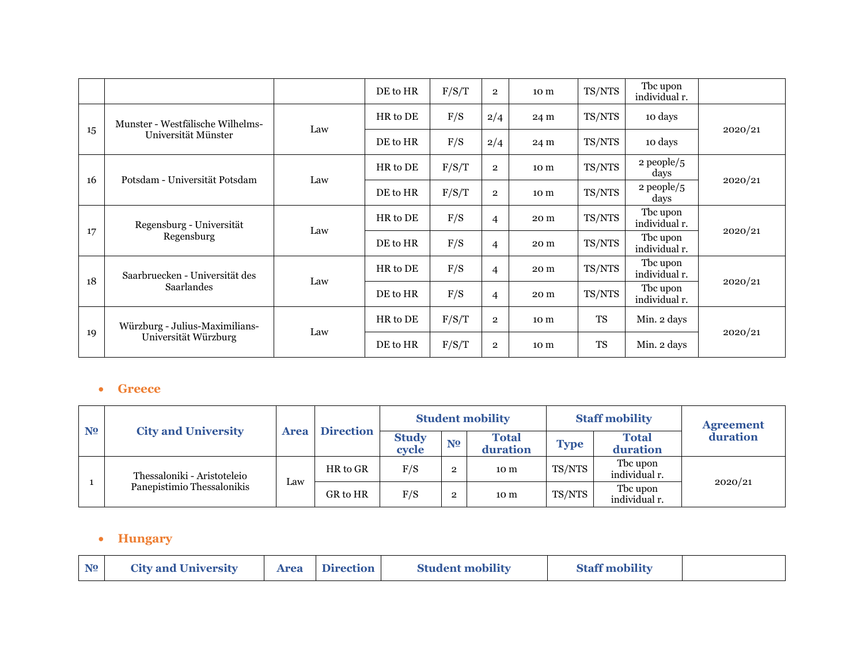|    |                                  |     | DE to HR | F/S/T | $\overline{2}$ | 10 m | TS/NTS    | Tbc upon<br>individual r. |         |
|----|----------------------------------|-----|----------|-------|----------------|------|-----------|---------------------------|---------|
|    | Munster - Westfälische Wilhelms- | Law | HR to DE | F/S   | 2/4            | 24 m | TS/NTS    | 10 days                   | 2020/21 |
| 15 | Universität Münster              |     | DE to HR | F/S   | 2/4            | 24 m | TS/NTS    | 10 days                   |         |
| 16 | Potsdam - Universität Potsdam    | Law | HR to DE | F/S/T | $\overline{2}$ | 10 m | TS/NTS    | $2$ people/ $5$<br>days   |         |
|    |                                  |     | DE to HR | F/S/T | $\overline{2}$ | 10 m | TS/NTS    | $2$ people/5<br>days      | 2020/21 |
|    | Regensburg - Universität         | Law | HR to DE | F/S   | $\overline{4}$ | 20 m | TS/NTS    | The upon<br>individual r. |         |
| 17 | Regensburg                       |     | DE to HR | F/S   | $\overline{4}$ | 20 m | TS/NTS    | The upon<br>individual r. | 2020/21 |
| 18 | Saarbruecken - Universität des   | Law | HR to DE | F/S   | $\overline{4}$ | 20 m | TS/NTS    | The upon<br>individual r. | 2020/21 |
|    | Saarlandes                       |     | DE to HR | F/S   | $\overline{4}$ | 20 m | TS/NTS    | The upon<br>individual r. |         |
|    | Würzburg - Julius-Maximilians-   | Law | HR to DE | F/S/T | $\overline{2}$ | 10 m | <b>TS</b> | Min. 2 days               |         |
| 19 | Universität Würzburg             |     | DE to HR | F/S/T | $\mathbf{2}$   | 10 m | <b>TS</b> | Min. 2 days               | 2020/21 |

#### • **Greece**

| N <sub>2</sub> | <b>City and University</b>  |             |                  |                       |                | <b>Student mobility</b>  |             | <b>Staff mobility</b>     | <b>Agreement</b> |
|----------------|-----------------------------|-------------|------------------|-----------------------|----------------|--------------------------|-------------|---------------------------|------------------|
|                |                             | <b>Area</b> | <b>Direction</b> | <b>Study</b><br>cycle | N <sub>2</sub> | <b>Total</b><br>duration | <b>Type</b> | <b>Total</b><br>duration  | duration         |
|                | Thessaloniki - Aristoteleio |             | HR to GR         | F/S                   | $\mathbf 2$    | 10 m                     | TS/NTS      | The upon<br>individual r. |                  |
|                | Panepistimio Thessalonikis  | Law         | GR to HR         | F/S                   | $\Omega$       | 10 m                     | TS/NTS      | The upon<br>individual r. | 2020/21          |

#### • **Hungary**

| N <sub>2</sub> | <b>City and University</b> |  | <b>Area</b> Direction | <b>Student mobility</b> | <b>Staff mobility</b> |  |
|----------------|----------------------------|--|-----------------------|-------------------------|-----------------------|--|
|----------------|----------------------------|--|-----------------------|-------------------------|-----------------------|--|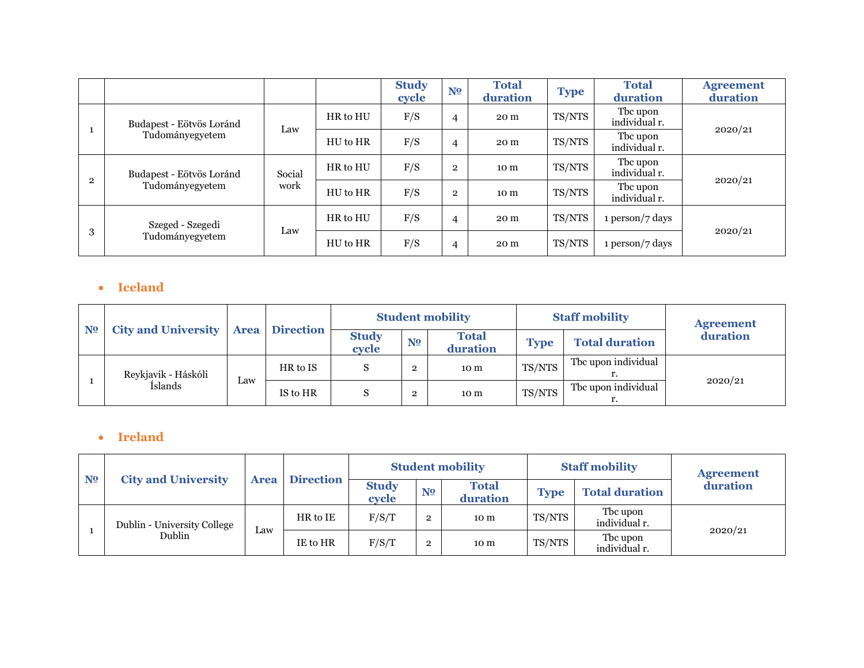|                |                          |        |          | <b>Study</b><br>cycle | N <sub>2</sub> | <b>Total</b><br>duration | <b>Type</b> | <b>Total</b><br>duration  | <b>Agreement</b><br>duration |
|----------------|--------------------------|--------|----------|-----------------------|----------------|--------------------------|-------------|---------------------------|------------------------------|
|                | Budapest - Eötvös Loránd | Law    | HR to HU | F/S                   | $\overline{4}$ | 20 m                     | TS/NTS      | Tbc upon<br>individual r. | 2020/21                      |
|                | Tudományegyetem          |        | HU to HR | F/S                   | $\overline{4}$ | 20 m                     | TS/NTS      | Tbc upon<br>individual r. |                              |
| $\overline{2}$ | Budapest - Eötvös Loránd | Social | HR to HU | F/S                   | $\overline{2}$ | 10 <sub>m</sub>          | TS/NTS      | Tbc upon<br>individual r. | 2020/21                      |
|                | Tudományegyetem          | work   | HU to HR | F/S                   | $\overline{2}$ | 10 <sub>m</sub>          | TS/NTS      | Tbc upon<br>individual r. |                              |
|                | Szeged - Szegedi         |        | HR to HU | F/S                   | $\overline{4}$ | 20 m                     | TS/NTS      | 1 person/7 days           |                              |
| 3              | Tudományegyetem          | Law    | HU to HR | F/S                   | $\overline{4}$ | 20 m                     | TS/NTS      | 1 person/7 days           | 2020/21                      |

#### • **Iceland**

| N <sub>2</sub> | <b>City and University</b> |             |                  |                       |                | <b>Student mobility</b>  |             | <b>Staff mobility</b> | <b>Agreement</b> |
|----------------|----------------------------|-------------|------------------|-----------------------|----------------|--------------------------|-------------|-----------------------|------------------|
|                |                            | <b>Area</b> | <b>Direction</b> | <b>Study</b><br>cycle | N <sub>2</sub> | <b>Total</b><br>duration | <b>Type</b> | <b>Total duration</b> | duration         |
|                | Reykjavik - Háskóli        |             | HR to IS         |                       | $\overline{2}$ | 10 m                     | TS/NTS      | The upon individual   |                  |
|                | Íslands                    | Law         | IS to HR         |                       | $\overline{2}$ | 10 m                     | TS/NTS      | The upon individual   | 2020/21          |

## • **Ireland**

| N <sub>2</sub> | <b>City and University</b>  |             |                  | <b>Student mobility</b> |                |                          |             | <b>Staff mobility</b>     | <b>Agreement</b> |
|----------------|-----------------------------|-------------|------------------|-------------------------|----------------|--------------------------|-------------|---------------------------|------------------|
|                |                             | <b>Area</b> | <b>Direction</b> | <b>Study</b><br>cycle   | N <sub>2</sub> | <b>Total</b><br>duration | <b>Type</b> | <b>Total duration</b>     | duration         |
|                | Dublin - University College |             | HR to IE         | F/S/T                   | $\overline{2}$ | 10 m                     | TS/NTS      | The upon<br>individual r. |                  |
|                | Dublin                      | Law         | IE to HR         | F/S/T                   | $\mathbf{2}$   | 10 m                     | TS/NTS      | The upon<br>individual r. | 2020/21          |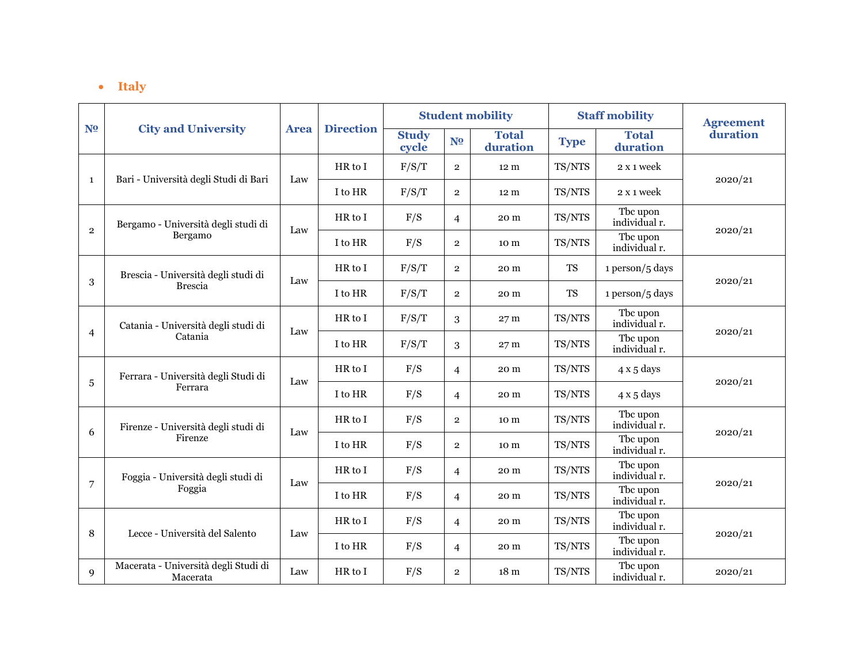## • **Italy**

|                |                                                  |             |                  |                       |                | <b>Student mobility</b>  |             | <b>Staff mobility</b>     | <b>Agreement</b> |  |
|----------------|--------------------------------------------------|-------------|------------------|-----------------------|----------------|--------------------------|-------------|---------------------------|------------------|--|
| N <sub>2</sub> | <b>City and University</b>                       | <b>Area</b> | <b>Direction</b> | <b>Study</b><br>cycle | N <sub>2</sub> | <b>Total</b><br>duration | <b>Type</b> | <b>Total</b><br>duration  | duration         |  |
|                |                                                  |             | HR to I          | F/S/T                 | $\overline{2}$ | 12 <sub>m</sub>          | TS/NTS      | 2 x 1 week                |                  |  |
| 1              | Bari - Università degli Studi di Bari            | Law         | I to HR          | F/S/T                 | $\overline{2}$ | 12 <sub>m</sub>          | TS/NTS      | 2 x 1 week                | 2020/21          |  |
|                | Bergamo - Università degli studi di              |             | HR to I          | F/S                   | $\overline{4}$ | 20 m                     | TS/NTS      | The upon<br>individual r. |                  |  |
| $\overline{2}$ | Bergamo                                          | Law         | I to HR          | F/S                   | $\overline{2}$ | 10 m                     | TS/NTS      | The upon<br>individual r. | 2020/21          |  |
|                | Brescia - Università degli studi di              |             | HR to I          | F/S/T                 | $\overline{2}$ | 20 m                     | <b>TS</b>   | 1 person/5 days           |                  |  |
| 3              | <b>Brescia</b>                                   | Law         | I to HR          | F/S/T                 | $\overline{2}$ | 20 m                     | <b>TS</b>   | 1 person/5 days           | 2020/21          |  |
|                | Catania - Università degli studi di              |             | HR to I          | F/S/T                 | 3              | 27 <sub>m</sub>          | TS/NTS      | The upon<br>individual r. |                  |  |
| $\overline{4}$ | Catania                                          | Law         | I to HR          | F/S/T                 | 3              | 27 <sub>m</sub>          | TS/NTS      | Tbc upon<br>individual r. | 2020/21          |  |
|                | Ferrara - Università degli Studi di              |             | HR to I          | F/S                   | $\overline{4}$ | 20 m                     | TS/NTS      | $4x5$ days                |                  |  |
| 5              | Ferrara                                          | Law         | I to HR          | F/S                   | $\overline{4}$ | 20 m                     | TS/NTS      | $4x5$ days                | 2020/21          |  |
| 6              | Firenze - Università degli studi di              | Law         | HR to I          | F/S                   | $\overline{2}$ | 10 m                     | TS/NTS      | Tbc upon<br>individual r. | 2020/21          |  |
|                | Firenze                                          |             | I to HR          | F/S                   | $\overline{2}$ | 10 m                     | TS/NTS      | The upon<br>individual r. |                  |  |
|                | Foggia - Università degli studi di               | Law         | HR to I          | F/S                   | $\overline{4}$ | 20 m                     | TS/NTS      | Tbc upon<br>individual r. |                  |  |
| 7              | Foggia                                           |             | I to HR          | F/S                   | $\overline{4}$ | 20 m                     | TS/NTS      | The upon<br>individual r. | 2020/21          |  |
|                |                                                  |             | HR to I          | F/S                   | $\overline{4}$ | 20 m                     | TS/NTS      | The upon<br>individual r. |                  |  |
|                | Lecce - Università del Salento<br>8              | Law         | I to HR          | F/S                   | $\overline{4}$ | 20 m                     | TS/NTS      | The upon<br>individual r. | 2020/21          |  |
| 9              | Macerata - Università degli Studi di<br>Macerata | Law         | HR to I          | F/S                   | $\overline{2}$ | 18 <sub>m</sub>          | TS/NTS      | The upon<br>individual r. | 2020/21          |  |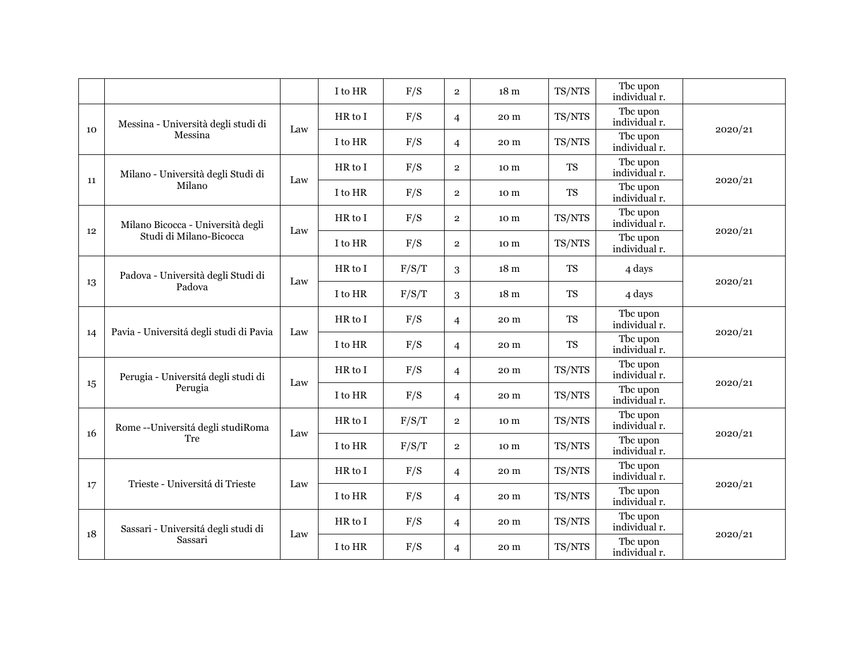|    |                                         |     | I to HR | F/S   | $\overline{2}$ | 18 <sub>m</sub> | TS/NTS    | Tbc upon<br>individual r. |         |
|----|-----------------------------------------|-----|---------|-------|----------------|-----------------|-----------|---------------------------|---------|
| 10 | Messina - Università degli studi di     | Law | HR to I | F/S   | $\overline{4}$ | 20 m            | TS/NTS    | The upon<br>individual r. | 2020/21 |
|    | Messina                                 |     | I to HR | F/S   | $\overline{4}$ | 20 m            | TS/NTS    | Tbc upon<br>individual r. |         |
| 11 | Milano - Università degli Studi di      | Law | HR to I | F/S   | $\overline{2}$ | 10 m            | <b>TS</b> | The upon<br>individual r. | 2020/21 |
|    | Milano                                  |     | I to HR | F/S   | $\overline{2}$ | 10 m            | <b>TS</b> | The upon<br>individual r. |         |
| 12 | Milano Bicocca - Università degli       | Law | HR to I | F/S   | $\overline{2}$ | 10 m            | TS/NTS    | Tbc upon<br>individual r. | 2020/21 |
|    | Studi di Milano-Bicocca                 |     | I to HR | F/S   | $\overline{2}$ | 10 m            | TS/NTS    | The upon<br>individual r. |         |
| 13 | Padova - Università degli Studi di      | Law | HR to I | F/S/T | 3              | 18 <sub>m</sub> | <b>TS</b> | 4 days                    | 2020/21 |
|    | Padova                                  |     | I to HR | F/S/T | 3              | 18 <sub>m</sub> | <b>TS</b> | 4 days                    |         |
|    | Pavia - Universitá degli studi di Pavia | Law | HR to I | F/S   | $\overline{4}$ | 20 m            | <b>TS</b> | Tbc upon<br>individual r. | 2020/21 |
| 14 |                                         |     | I to HR | F/S   | $\overline{4}$ | 20 m            | <b>TS</b> | Tbc upon<br>individual r. |         |
|    | Perugia - Universitá degli studi di     | Law | HR to I | F/S   | $\overline{4}$ | 20 m            | TS/NTS    | Tbc upon<br>individual r. |         |
| 15 | Perugia                                 |     | I to HR | F/S   | $\overline{4}$ | 20 m            | TS/NTS    | The upon<br>individual r. | 2020/21 |
| 16 | Rome -- Universitá degli studiRoma      | Law | HR to I | F/S/T | $\overline{2}$ | 10 m            | TS/NTS    | Tbc upon<br>individual r. | 2020/21 |
|    | Tre                                     |     | I to HR | F/S/T | $\overline{2}$ | 10 m            | TS/NTS    | The upon<br>individual r. |         |
|    | Trieste - Universitá di Trieste         | Law | HR to I | F/S   | $\overline{4}$ | 20 m            | TS/NTS    | The upon<br>individual r. | 2020/21 |
| 17 |                                         |     | I to HR | F/S   | $\overline{4}$ | 20 m            | TS/NTS    | The upon<br>individual r. |         |
| 18 | Sassari - Universitá degli studi di     | Law | HR to I | F/S   | $\overline{4}$ | 20 m            | TS/NTS    | The upon<br>individual r. | 2020/21 |
|    | Sassari                                 |     | I to HR | F/S   | $\overline{4}$ | 20 m            | TS/NTS    | The upon<br>individual r. |         |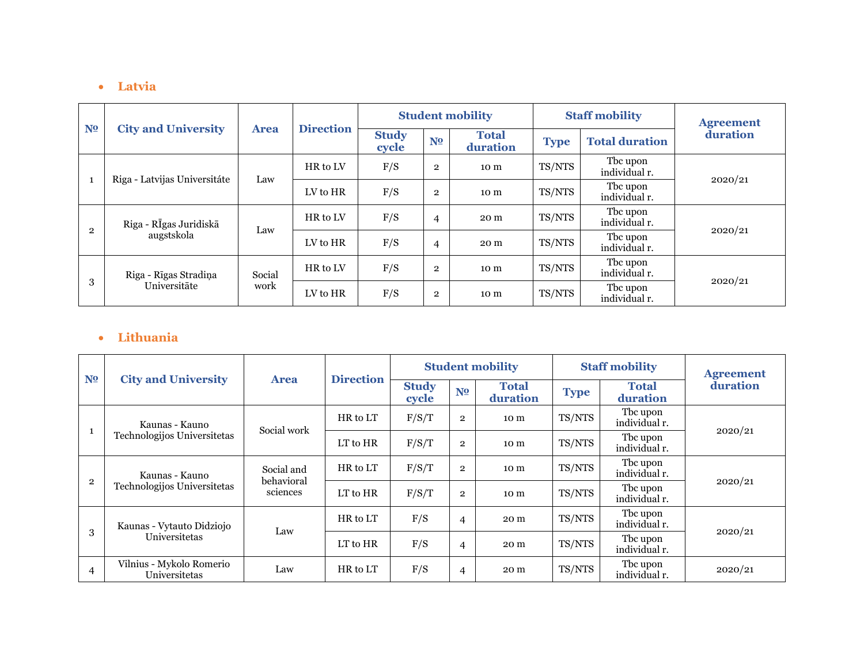#### • **Latvia**

|                |                              |             |                  |                       |                | <b>Student mobility</b>  |             | <b>Staff mobility</b>     | <b>Agreement</b> |  |
|----------------|------------------------------|-------------|------------------|-----------------------|----------------|--------------------------|-------------|---------------------------|------------------|--|
| N <sub>2</sub> | <b>City and University</b>   | <b>Area</b> | <b>Direction</b> | <b>Study</b><br>cycle | N <sub>2</sub> | <b>Total</b><br>duration | <b>Type</b> | <b>Total duration</b>     | duration         |  |
|                | Riga - Latvijas Universitáte |             | HR to LV         | F/S                   | $\overline{2}$ | 10 <sub>m</sub>          | TS/NTS      | The upon<br>individual r. |                  |  |
| 1              |                              | Law         | LV to HR         | F/S                   | $\overline{2}$ | 10 <sub>m</sub>          | TS/NTS      | The upon<br>individual r. | 2020/21          |  |
|                | Riga - RĪgas Juridiskā       | Law         | HR to LV         | F/S                   | 4              | 20 m                     | TS/NTS      | The upon<br>individual r. |                  |  |
| $\overline{2}$ | augstskola                   |             | LV to HR         | F/S                   | 4              | 20 m                     | TS/NTS      | The upon<br>individual r. | 2020/21          |  |
|                | Riga - Rīgas Stradiņa        | Social      | HR to LV         | F/S                   | $\overline{2}$ | 10 <sub>m</sub>          | TS/NTS      | The upon<br>individual r. |                  |  |
| 3              | Universitāte                 | work        | LV to HR         | F/S                   | $\overline{2}$ | 10 m                     | TS/NTS      | The upon<br>individual r. | 2020/21          |  |

## • **Lithuania**

|                |                                           |                          | <b>Direction</b> |                       |                | <b>Student mobility</b>  |             | <b>Staff mobility</b>     | <b>Agreement</b> |
|----------------|-------------------------------------------|--------------------------|------------------|-----------------------|----------------|--------------------------|-------------|---------------------------|------------------|
| N <sub>2</sub> | <b>City and University</b>                | <b>Area</b>              |                  | <b>Study</b><br>cycle | N <sub>2</sub> | <b>Total</b><br>duration | <b>Type</b> | <b>Total</b><br>duration  | duration         |
|                | Kaunas - Kauno                            | Social work              | HR to LT         | F/S/T                 | $\overline{2}$ | 10 m                     | TS/NTS      | The upon<br>individual r. | 2020/21          |
|                | Technologijos Universitetas               |                          | LT to HR         | F/S/T                 | $\overline{2}$ | 10 m                     | TS/NTS      | Tbc upon<br>individual r. |                  |
|                | Kaunas - Kauno                            | Social and<br>behavioral | HR to LT         | F/S/T                 | $\overline{2}$ | 10 m                     | TS/NTS      | The upon<br>individual r. |                  |
| $\overline{2}$ | Technologijos Universitetas               | sciences                 | LT to HR         | F/S/T                 | $\overline{2}$ | 10 m                     | TS/NTS      | Tbc upon<br>individual r. | 2020/21          |
|                | Kaunas - Vytauto Didziojo                 | Law                      | HR to LT         | F/S                   | 4              | 20 m                     | TS/NTS      | Tbc upon<br>individual r. |                  |
| 3              | Universitetas                             |                          | LT to HR         | F/S                   | 4              | 20 m                     | TS/NTS      | Tbc upon<br>individual r. | 2020/21          |
| $\overline{4}$ | Vilnius - Mykolo Romerio<br>Universitetas | Law                      | HR to LT         | F/S                   | 4              | 20 m                     | TS/NTS      | The upon<br>individual r. | 2020/21          |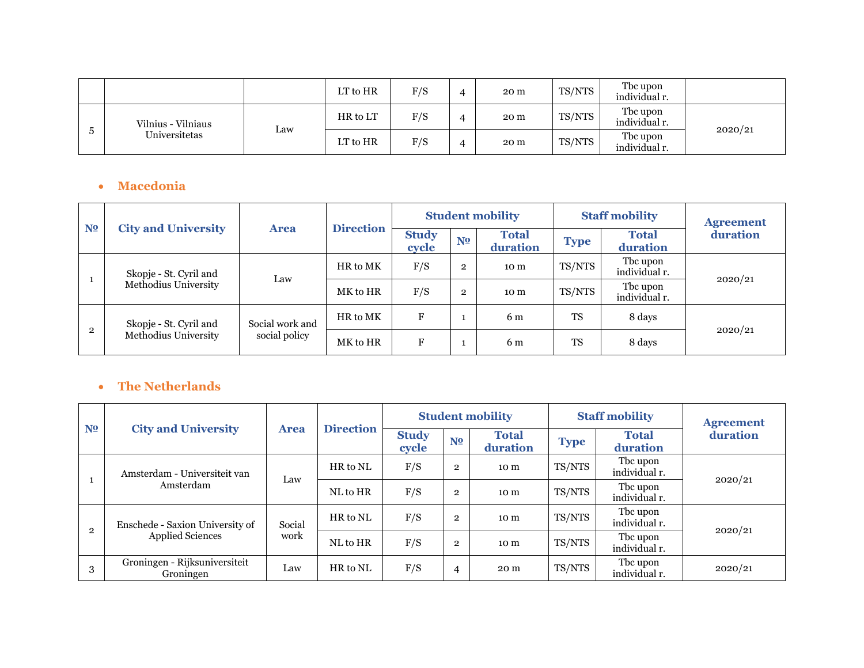|   |                    |     | LT to HR | F/S | 4 | 20 m | TS/NTS | The upon<br>individual r. |         |
|---|--------------------|-----|----------|-----|---|------|--------|---------------------------|---------|
|   | Vilnius - Vilniaus |     | HR to LT | F/S | 4 | 20 m | TS/NTS | The upon<br>individual r. |         |
| Ð | Universitetas      | Law | LT to HR | F/S | 4 | 20 m | TS/NTS | The upon<br>individual r. | 2020/21 |

## • **Macedonia**

| N <sub>2</sub> | <b>City and University</b> |                 |                  |                       |                | <b>Student mobility</b>  |             | <b>Staff mobility</b>     | <b>Agreement</b> |
|----------------|----------------------------|-----------------|------------------|-----------------------|----------------|--------------------------|-------------|---------------------------|------------------|
|                |                            | <b>Area</b>     | <b>Direction</b> | <b>Study</b><br>cycle | N <sub>2</sub> | <b>Total</b><br>duration | <b>Type</b> | <b>Total</b><br>duration  | duration         |
|                | Skopje - St. Cyril and     | Law             | HR to MK         | F/S                   | $\overline{2}$ | 10 m                     | TS/NTS      | Tbc upon<br>individual r. | 2020/21          |
|                | Methodius University       |                 | MK to HR         | F/S                   | $\overline{2}$ | 10 m                     | TS/NTS      | Tbc upon<br>individual r. |                  |
|                | Skopje - St. Cyril and     | Social work and | HR to MK         | F                     |                | 6 m                      | <b>TS</b>   | 8 days                    |                  |
| $\overline{2}$ | Methodius University       | social policy   | MK to HR         | F                     |                | 6 m                      | <b>TS</b>   | 8 days                    | 2020/21          |

## • **The Netherlands**

| N <sub>2</sub> |                                            |             |                  |                       |                | <b>Student mobility</b>  |             | <b>Staff mobility</b>     | <b>Agreement</b> |  |
|----------------|--------------------------------------------|-------------|------------------|-----------------------|----------------|--------------------------|-------------|---------------------------|------------------|--|
|                | <b>City and University</b>                 | <b>Area</b> | <b>Direction</b> | <b>Study</b><br>cycle | N <sub>2</sub> | <b>Total</b><br>duration | <b>Type</b> | <b>Total</b><br>duration  | duration         |  |
|                | Amsterdam - Universiteit van               | Law         | HR to NL         | F/S                   | $\overline{2}$ | 10 m                     | TS/NTS      | Tbc upon<br>individual r. | 2020/21          |  |
|                | Amsterdam                                  |             | NL to HR         | F/S                   | $\mathbf{2}$   | 10 m                     | TS/NTS      | Tbc upon<br>individual r. |                  |  |
| $\overline{2}$ | Enschede - Saxion University of            | Social      | HR to NL         | F/S                   | $\overline{2}$ | 10 m                     | TS/NTS      | Tbc upon<br>individual r. |                  |  |
|                | <b>Applied Sciences</b>                    | work        | NL to HR         | F/S                   | $\overline{2}$ | 10 m                     | TS/NTS      | Tbc upon<br>individual r. | 2020/21          |  |
| 3              | Groningen - Rijksuniversiteit<br>Groningen | Law         | HR to NL         | F/S                   | 4              | 20 m                     | TS/NTS      | Tbc upon<br>individual r. | 2020/21          |  |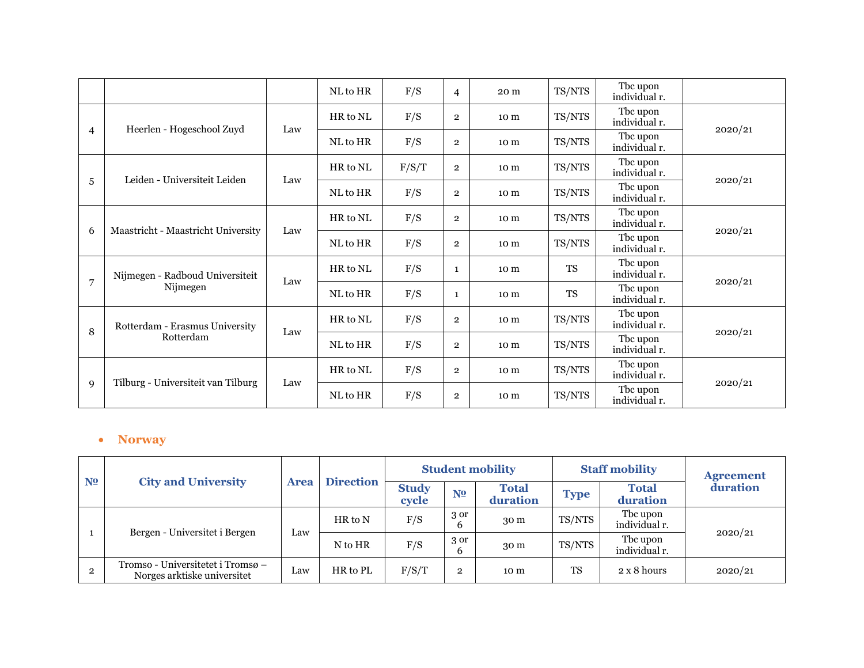|   |                                    |     | NL to HR | F/S   | $\overline{4}$ | 20 m            | TS/NTS    | Tbc upon<br>individual r. |         |
|---|------------------------------------|-----|----------|-------|----------------|-----------------|-----------|---------------------------|---------|
|   |                                    |     | HR to NL | F/S   | $\overline{2}$ | 10 <sub>m</sub> | TS/NTS    | The upon<br>individual r. |         |
| 4 | Heerlen - Hogeschool Zuyd          | Law | NL to HR | F/S   | $\overline{2}$ | 10 m            | TS/NTS    | Tbc upon<br>individual r. | 2020/21 |
|   | Leiden - Universiteit Leiden       | Law | HR to NL | F/S/T | $\overline{2}$ | 10 m            | TS/NTS    | The upon<br>individual r. |         |
| 5 |                                    |     | NL to HR | F/S   | $\overline{2}$ | 10 <sub>m</sub> | TS/NTS    | The upon<br>individual r. | 2020/21 |
| 6 | Maastricht - Maastricht University | Law | HR to NL | F/S   | $\overline{2}$ | 10 m            | TS/NTS    | Tbc upon<br>individual r. | 2020/21 |
|   |                                    |     | NL to HR | F/S   | $\overline{2}$ | 10 m            | TS/NTS    | Tbc upon<br>individual r. |         |
| 7 | Nijmegen - Radboud Universiteit    | Law | HR to NL | F/S   | 1              | 10 m            | <b>TS</b> | The upon<br>individual r. |         |
|   | Nijmegen                           |     | NL to HR | F/S   | 1              | 10 <sub>m</sub> | <b>TS</b> | Tbc upon<br>individual r. | 2020/21 |
| 8 | Rotterdam - Erasmus University     | Law | HR to NL | F/S   | $\overline{2}$ | 10 m            | TS/NTS    | The upon<br>individual r. |         |
|   | Rotterdam                          |     | NL to HR | F/S   | $\overline{2}$ | 10 m            | TS/NTS    | Tbc upon<br>individual r. | 2020/21 |
|   |                                    |     | HR to NL | F/S   | $\overline{2}$ | 10 m            | TS/NTS    | The upon<br>individual r. |         |
| 9 | Tilburg - Universiteit van Tilburg | Law | NL to HR | F/S   | $\overline{2}$ | 10 m            | TS/NTS    | Tbc upon<br>individual r. | 2020/21 |

#### • **Norway**

| N <sub>2</sub> |                                                                  |             |                  |                       |                | <b>Student mobility</b>  |             | <b>Staff mobility</b>     | <b>Agreement</b> |  |
|----------------|------------------------------------------------------------------|-------------|------------------|-----------------------|----------------|--------------------------|-------------|---------------------------|------------------|--|
|                | <b>City and University</b>                                       | <b>Area</b> | <b>Direction</b> | <b>Study</b><br>cycle | N <sub>2</sub> | <b>Total</b><br>duration | <b>Type</b> | <b>Total</b><br>duration  | duration         |  |
|                | Bergen - Universitet i Bergen                                    |             | HR to N          | F/S                   | 3 or<br>b      | 30 <sub>m</sub>          | TS/NTS      | The upon<br>individual r. |                  |  |
|                |                                                                  | Law         | N to HR          | F/S                   | 3 or<br>6      | 30 <sub>m</sub>          | TS/NTS      | The upon<br>individual r. | 2020/21          |  |
|                | Tromso - Universitetet i Tromsø –<br>Norges arktiske universitet | Law         | HR to PL         | F/S/T                 | $\mathbf{2}$   | 10 m                     | <b>TS</b>   | $2 \times 8$ hours        | 2020/21          |  |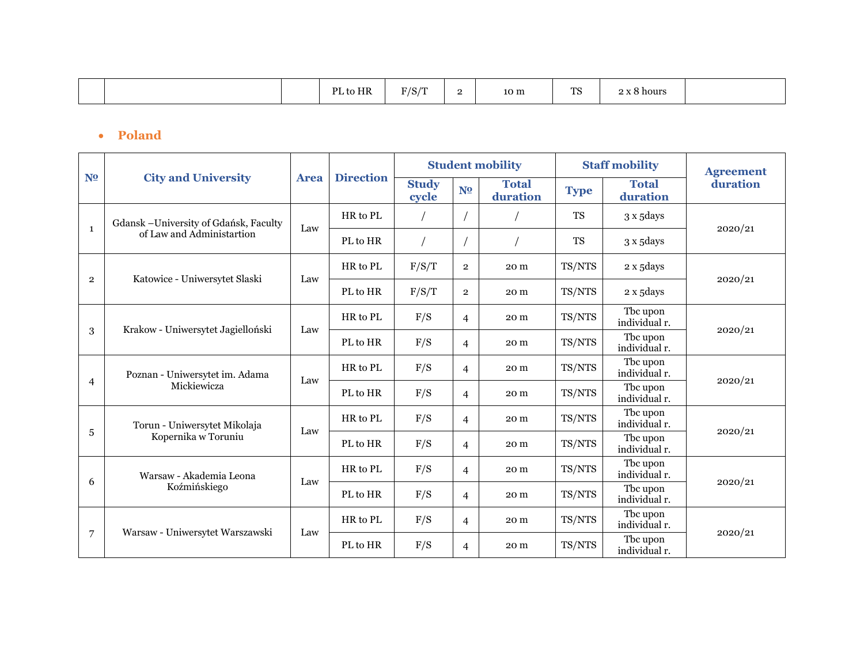|  |  |  | to HR<br>DI | $T/0$ /m<br>776<br>$\overline{\phantom{0}}$ | - | 10 m | ma<br>∸ | $\sim$<br>: 8 hours |  |
|--|--|--|-------------|---------------------------------------------|---|------|---------|---------------------|--|
|--|--|--|-------------|---------------------------------------------|---|------|---------|---------------------|--|

## • **Poland**

|                |                                        |             |                  |                       |                | <b>Student mobility</b>  |             | <b>Staff mobility</b>     | <b>Agreement</b> |
|----------------|----------------------------------------|-------------|------------------|-----------------------|----------------|--------------------------|-------------|---------------------------|------------------|
| N <sub>0</sub> | <b>City and University</b>             | <b>Area</b> | <b>Direction</b> | <b>Study</b><br>cycle | N <sub>2</sub> | <b>Total</b><br>duration | <b>Type</b> | <b>Total</b><br>duration  | duration         |
|                | Gdansk - University of Gdańsk, Faculty |             | HR to PL         |                       |                |                          | <b>TS</b>   | 3 x 5days                 |                  |
| $\mathbf{1}$   | of Law and Administartion              | Law         | PL to HR         |                       |                |                          | <b>TS</b>   | 3 x 5days                 | 2020/21          |
|                |                                        |             | HR to PL         | F/S/T                 | $\overline{2}$ | 20 m                     | TS/NTS      | 2 x 5days                 |                  |
| $\overline{2}$ | Katowice - Uniwersytet Slaski          | Law         | PL to HR         | F/S/T                 | $\overline{2}$ | 20 m                     | TS/NTS      | 2 x 5days                 | 2020/21          |
|                |                                        |             | HR to PL         | F/S                   | $\overline{4}$ | 20 m                     | TS/NTS      | The upon<br>individual r. |                  |
| 3              | Krakow - Uniwersytet Jagielloński      | Law         | PL to HR         | F/S                   | $\overline{4}$ | 20 m                     | TS/NTS      | Tbc upon<br>individual r. | 2020/21          |
|                | Poznan - Uniwersytet im. Adama         |             | HR to PL         | F/S                   | $\overline{4}$ | 20 m                     | TS/NTS      | The upon<br>individual r. |                  |
| $\overline{4}$ | Mickiewicza                            | Law         | PL to HR         | F/S                   | $\overline{4}$ | 20 m                     | TS/NTS      | The upon<br>individual r. | 2020/21          |
|                | Torun - Uniwersytet Mikolaja           | Law         | HR to PL         | F/S                   | $\overline{4}$ | 20 m                     | TS/NTS      | Tbc upon<br>individual r. |                  |
| 5              | Kopernika w Toruniu                    |             | PL to HR         | F/S                   | $\overline{4}$ | 20 m                     | TS/NTS      | The upon<br>individual r. | 2020/21          |
| 6              | Warsaw - Akademia Leona                | Law         | HR to PL         | F/S                   | $\overline{4}$ | 20 m                     | TS/NTS      | The upon<br>individual r. |                  |
|                | Koźmińskiego                           |             | PL to HR         | F/S                   | $\overline{4}$ | 20 m                     | TS/NTS      | The upon<br>individual r. | 2020/21          |
|                |                                        |             | HR to PL         | F/S                   | $\overline{4}$ | 20 m                     | TS/NTS      | The upon<br>individual r. |                  |
| 7              | Warsaw - Uniwersytet Warszawski        | Law         | PL to HR         | F/S                   | $\overline{4}$ | 20 m                     | TS/NTS      | The upon<br>individual r. | 2020/21          |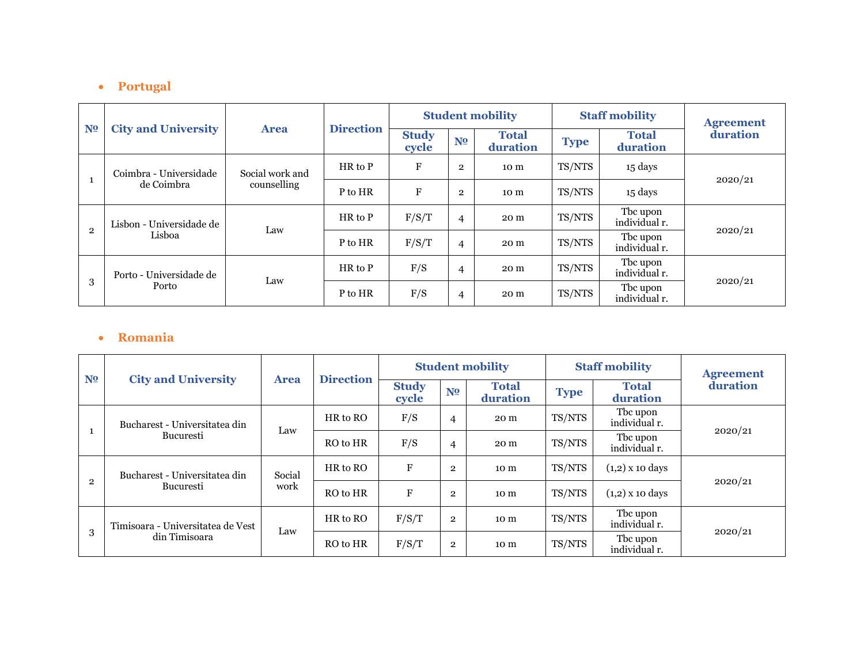#### • **Portugal**

|                |                            |                 |                  |                       |                | <b>Student mobility</b>  |             | <b>Staff mobility</b>     | <b>Agreement</b> |
|----------------|----------------------------|-----------------|------------------|-----------------------|----------------|--------------------------|-------------|---------------------------|------------------|
| N <sub>2</sub> | <b>City and University</b> | <b>Area</b>     | <b>Direction</b> | <b>Study</b><br>cycle | N <sub>0</sub> | <b>Total</b><br>duration | <b>Type</b> | <b>Total</b><br>duration  | duration         |
|                | Coimbra - Universidade     | Social work and | $HR$ to $P$      | F                     | $\mathbf{2}$   | 10 m                     | TS/NTS      | 15 days                   |                  |
|                | de Coimbra                 | counselling     | P to HR          | F                     | $\mathbf{2}$   | 10 m                     | TS/NTS      | 15 days                   | 2020/21          |
|                | Lisbon - Universidade de   |                 | $HR$ to $P$      | F/S/T                 | $\overline{4}$ | 20 m                     | TS/NTS      | Tbc upon<br>individual r. |                  |
| $\overline{2}$ | Lisboa                     | Law             | P to HR          | F/S/T                 | $\overline{4}$ | 20 m                     | TS/NTS      | Tbc upon<br>individual r. | 2020/21          |
|                | Porto - Universidade de    | Law             | $HR$ to $P$      | F/S                   | $\overline{4}$ | 20 m                     | TS/NTS      | The upon<br>individual r. |                  |
| 3              | Porto                      |                 | P to HR          | F/S                   | $\overline{4}$ | 20 m                     | TS/NTS      | Tbc upon<br>individual r. | 2020/21          |

#### • **Romania**

| N <sub>2</sub> |                                   |             |                  |                       |                | <b>Student mobility</b>  |             | <b>Staff mobility</b>     | <b>Agreement</b> |
|----------------|-----------------------------------|-------------|------------------|-----------------------|----------------|--------------------------|-------------|---------------------------|------------------|
|                | <b>City and University</b>        | <b>Area</b> | <b>Direction</b> | <b>Study</b><br>cycle | N <sub>2</sub> | <b>Total</b><br>duration | <b>Type</b> | <b>Total</b><br>duration  | duration         |
|                | Bucharest - Universitatea din     | Law         | HR to RO         | F/S                   | 4              | 20 m                     | TS/NTS      | Tbc upon<br>individual r. | 2020/21          |
|                | Bucuresti                         |             | RO to HR         | F/S                   | 4              | 20 m                     | TS/NTS      | Tbc upon<br>individual r. |                  |
| $\overline{2}$ | Bucharest - Universitatea din     | Social      | HR to RO         | $\mathbf{F}$          | $\overline{2}$ | 10 m                     | TS/NTS      | $(1,2)$ x 10 days         | 2020/21          |
|                | <b>Bucuresti</b>                  | work        | RO to HR         | F                     | $\overline{2}$ | 10 m                     | TS/NTS      | $(1,2)$ x 10 days         |                  |
|                | Timisoara - Universitatea de Vest |             | HR to RO         | F/S/T                 | $\overline{2}$ | 10 <sub>m</sub>          | TS/NTS      | Tbc upon<br>individual r. |                  |
| 3              | din Timisoara                     | Law         | RO to HR         | F/S/T                 | $\overline{2}$ | 10 m                     | TS/NTS      | The upon<br>individual r. | 2020/21          |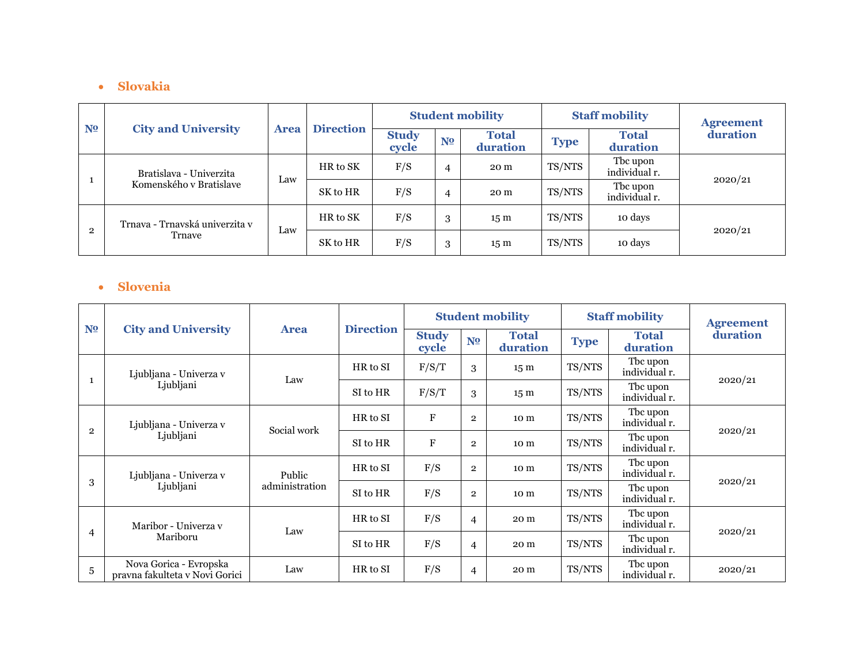### • **Slovakia**

| N <sub>2</sub> | <b>City and University</b>                         | <b>Area</b> | <b>Direction</b> |                       |                | <b>Student mobility</b>  |             | <b>Staff mobility</b>     | <b>Agreement</b> |  |
|----------------|----------------------------------------------------|-------------|------------------|-----------------------|----------------|--------------------------|-------------|---------------------------|------------------|--|
|                |                                                    |             |                  | <b>Study</b><br>cycle | N <sub>2</sub> | <b>Total</b><br>duration | <b>Type</b> | <b>Total</b><br>duration  | duration         |  |
|                | Bratislava - Univerzita<br>Komenského v Bratislave | Law         | HR to SK         | F/S                   | 4              | 20 m                     | TS/NTS      | Tbc upon<br>individual r. |                  |  |
|                |                                                    |             | SK to HR         | F/S                   | 4              | 20 m                     | TS/NTS      | Tbc upon<br>individual r. | 2020/21          |  |
| $\overline{2}$ | Trnava - Trnavská univerzita v<br>Trnave           | Law         | HR to SK         | F/S                   | 3              | 15 <sub>m</sub>          | TS/NTS      | 10 days                   |                  |  |
|                |                                                    |             | SK to HR         | F/S                   | 3              | 15 <sub>m</sub>          | TS/NTS      | 10 days                   | 2020/21          |  |

#### • **Slovenia**

|                |                                                          |                |                  |                       |                | <b>Student mobility</b>  |             | <b>Staff mobility</b>     | <b>Agreement</b> |  |
|----------------|----------------------------------------------------------|----------------|------------------|-----------------------|----------------|--------------------------|-------------|---------------------------|------------------|--|
| N <sub>2</sub> | <b>City and University</b>                               | <b>Area</b>    | <b>Direction</b> | <b>Study</b><br>cycle | N <sub>2</sub> | <b>Total</b><br>duration | <b>Type</b> | <b>Total</b><br>duration  | duration         |  |
| 1              | Ljubljana - Univerza v                                   | Law            | HR to SI         | F/S/T                 | 3              | 15 <sub>m</sub>          | TS/NTS      | The upon<br>individual r. | 2020/21          |  |
|                | Ljubljani                                                |                | SI to HR         | F/S/T                 | 3              | 15 <sub>m</sub>          | TS/NTS      | The upon<br>individual r. |                  |  |
| $\overline{2}$ | Ljubljana - Univerza v                                   | Social work    | HR to SI         | $\mathbf F$           | $\mathbf{2}$   | 10 m                     | TS/NTS      | The upon<br>individual r. | 2020/21          |  |
|                | Ljubljani                                                |                | SI to HR         | $\mathbf F$           | $\mathbf{2}$   | 10 m                     | TS/NTS      | The upon<br>individual r. |                  |  |
|                | Ljubljana - Univerza v<br>Ljubljani                      | Public         | HR to SI         | F/S                   | $\overline{2}$ | 10 <sub>m</sub>          | TS/NTS      | The upon<br>individual r. |                  |  |
| 3              |                                                          | administration | SI to HR         | F/S                   | $\overline{2}$ | 10 m                     | TS/NTS      | The upon<br>individual r. | 2020/21          |  |
|                | Maribor - Univerza y                                     | Law            | HR to SI         | F/S                   | $\overline{4}$ | 20 m                     | TS/NTS      | The upon<br>individual r. |                  |  |
| 4              | Mariboru                                                 |                | SI to HR         | F/S                   | 4              | 20 m                     | TS/NTS      | The upon<br>individual r. | 2020/21          |  |
| 5              | Nova Gorica - Evropska<br>pravna fakulteta v Novi Gorici | Law            | HR to SI         | F/S                   | 4              | 20 m                     | TS/NTS      | The upon<br>individual r. | 2020/21          |  |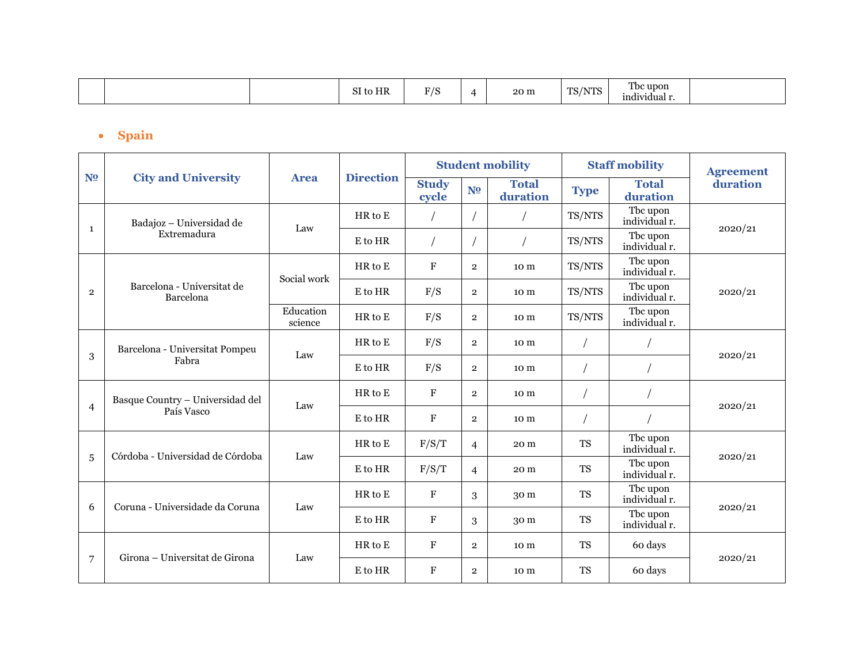| н<br>JІ<br>,,,,,<br>individual r. |  |  |  | to HR<br>$\sim$ $\tau$ | $\mathbf{E}$ $\mathbf{E}$ |  | 20 m | TS/<br>$\sqrt{2}$ | m<br>Tbc upon' |  |
|-----------------------------------|--|--|--|------------------------|---------------------------|--|------|-------------------|----------------|--|
|-----------------------------------|--|--|--|------------------------|---------------------------|--|------|-------------------|----------------|--|

## • **Spain**

|                |                                                                  |                      |                  |                       |                | <b>Student mobility</b>  |             | <b>Staff mobility</b>     | <b>Agreement</b> |  |
|----------------|------------------------------------------------------------------|----------------------|------------------|-----------------------|----------------|--------------------------|-------------|---------------------------|------------------|--|
| N <sub>2</sub> | <b>City and University</b>                                       | <b>Area</b>          | <b>Direction</b> | <b>Study</b><br>cycle | N <sub>2</sub> | <b>Total</b><br>duration | <b>Type</b> | <b>Total</b><br>duration  | duration         |  |
|                | Badajoz - Universidad de                                         | Law                  | HR to E          |                       |                |                          | TS/NTS      | Tbc upon<br>individual r. |                  |  |
| $\mathbf{1}$   | Extremadura                                                      |                      | E to HR          |                       |                |                          | TS/NTS      | Tbc upon<br>individual r. | 2020/21          |  |
|                |                                                                  | Social work          | HR to E          | $\rm F$               | $\overline{2}$ | 10 m                     | TS/NTS      | The upon<br>individual r. |                  |  |
| $\overline{2}$ | Barcelona - Universitat de<br>Barcelona                          |                      | E to HR          | F/S                   | $\overline{2}$ | 10 <sub>m</sub>          | TS/NTS      | The upon<br>individual r. | 2020/21          |  |
|                |                                                                  | Education<br>science | $HR$ to $E$      | F/S                   | $\overline{2}$ | 10 m                     | TS/NTS      | Tbc upon<br>individual r. |                  |  |
|                | Barcelona - Universitat Pompeu<br>Law                            |                      | $HR$ to $E$      | F/S                   | $\overline{2}$ | 10 m                     |             |                           | 2020/21          |  |
| 3              | Fabra                                                            |                      | E to HR          | F/S                   | $\overline{2}$ | 10 m                     |             |                           |                  |  |
|                | Basque Country - Universidad del<br>$\overline{4}$<br>País Vasco | Law                  | HR to E          | $\mathbf F$           | $\overline{2}$ | 10 m                     |             |                           |                  |  |
|                |                                                                  |                      | E to HR          | $\mathbf F$           | $\overline{2}$ | 10 m                     |             |                           | 2020/21          |  |
|                | Córdoba - Universidad de Córdoba                                 | Law                  | $HR$ to $E$      | F/S/T                 | $\overline{4}$ | 20 m                     | <b>TS</b>   | Tbc upon<br>individual r. |                  |  |
| $\overline{5}$ |                                                                  |                      | E to HR          | F/S/T                 | $\overline{4}$ | 20 m                     | <b>TS</b>   | The upon<br>individual r. | 2020/21          |  |
| 6              | Coruna - Universidade da Coruna                                  | Law                  | $HR$ to $E$      | F                     | 3              | 30 m                     | <b>TS</b>   | The upon<br>individual r. |                  |  |
|                |                                                                  |                      | E to HR          | $\mathbf F$           | 3              | 30 m                     | <b>TS</b>   | Tbc upon<br>individual r. | 2020/21          |  |
|                | Girona - Universitat de Girona                                   | Law                  | HR to E          | $\mathbf F$           | $\overline{2}$ | 10 m                     | <b>TS</b>   | 60 days                   |                  |  |
| 7              |                                                                  |                      | E to HR          | $\mathbf F$           | $\overline{2}$ | 10 m                     | <b>TS</b>   | 60 days                   | 2020/21          |  |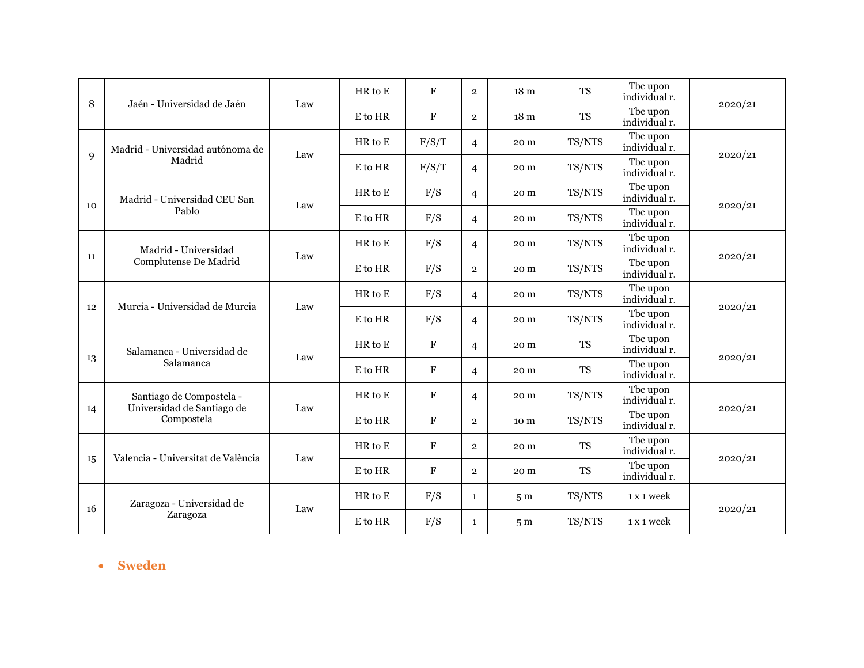|             | Jaén - Universidad de Jaén                             |     | $HR$ to $E$ | F            | $\overline{2}$ | 18 <sub>m</sub> | <b>TS</b> | Tbc upon<br>individual r. |         |
|-------------|--------------------------------------------------------|-----|-------------|--------------|----------------|-----------------|-----------|---------------------------|---------|
| 8           |                                                        | Law | E to HR     | $\mathbf F$  | $\overline{2}$ | 18 <sub>m</sub> | <b>TS</b> | Tbc upon<br>individual r. | 2020/21 |
|             | Madrid - Universidad autónoma de                       | Law | $HR$ to $E$ | F/S/T        | $\overline{4}$ | 20 m            | TS/NTS    | Tbc upon<br>individual r. |         |
| $\mathbf Q$ | Madrid                                                 |     | E to HR     | F/S/T        | $\overline{4}$ | 20 m            | TS/NTS    | The upon<br>individual r. | 2020/21 |
| 10          | Madrid - Universidad CEU San                           | Law | $HR$ to $E$ | F/S          | 4              | 20 m            | TS/NTS    | The upon<br>individual r. | 2020/21 |
|             | Pablo                                                  |     | E to HR     | F/S          | 4              | 20 m            | TS/NTS    | Tbc upon<br>individual r. |         |
|             | Madrid - Universidad<br>Complutense De Madrid          | Law | HR to E     | F/S          | $\overline{4}$ | 20 m            | TS/NTS    | The upon<br>individual r. | 2020/21 |
| 11          |                                                        |     | E to HR     | F/S          | $\overline{2}$ | 20 m            | TS/NTS    | Tbc upon<br>individual r. |         |
| 12          | Murcia - Universidad de Murcia                         | Law | HR to E     | F/S          | 4              | 20 m            | TS/NTS    | Tbc upon<br>individual r. |         |
|             |                                                        |     | E to HR     | F/S          | $\overline{4}$ | 20 m            | TS/NTS    | The upon<br>individual r. | 2020/21 |
|             | Salamanca - Universidad de                             | Law | HR to E     | $\mathbf F$  | $\overline{4}$ | 20 m            | <b>TS</b> | The upon<br>individual r. |         |
| 13          | Salamanca                                              |     | E to HR     | $\mathbf F$  | $\overline{4}$ | 20 m            | <b>TS</b> | Tbc upon<br>individual r. | 2020/21 |
|             | Santiago de Compostela -<br>Universidad de Santiago de | Law | HR to E     | $\mathbf F$  | 4              | 20 m            | TS/NTS    | The upon<br>individual r. |         |
| 14          | Compostela                                             |     | E to HR     | $\mathbf F$  | $\overline{2}$ | 10 m            | TS/NTS    | Tbc upon<br>individual r. | 2020/21 |
|             | Valencia - Universitat de València                     | Law | $HR$ to $E$ | F            | $\overline{2}$ | 20 m            | <b>TS</b> | The upon<br>individual r. |         |
| 15          |                                                        |     | E to HR     | $\mathbf{F}$ | $\overline{2}$ | 20 m            | <b>TS</b> | Tbc upon<br>individual r. | 2020/21 |
| 16          | Zaragoza - Universidad de                              | Law | $HR$ to $E$ | F/S          | $\mathbf{1}$   | 5 <sub>m</sub>  | TS/NTS    | 1 x 1 week                |         |
|             | Zaragoza                                               |     | E to HR     | F/S          | $\mathbf{1}$   | 5 <sub>m</sub>  | TS/NTS    | 1 x 1 week                | 2020/21 |

• **Sweden**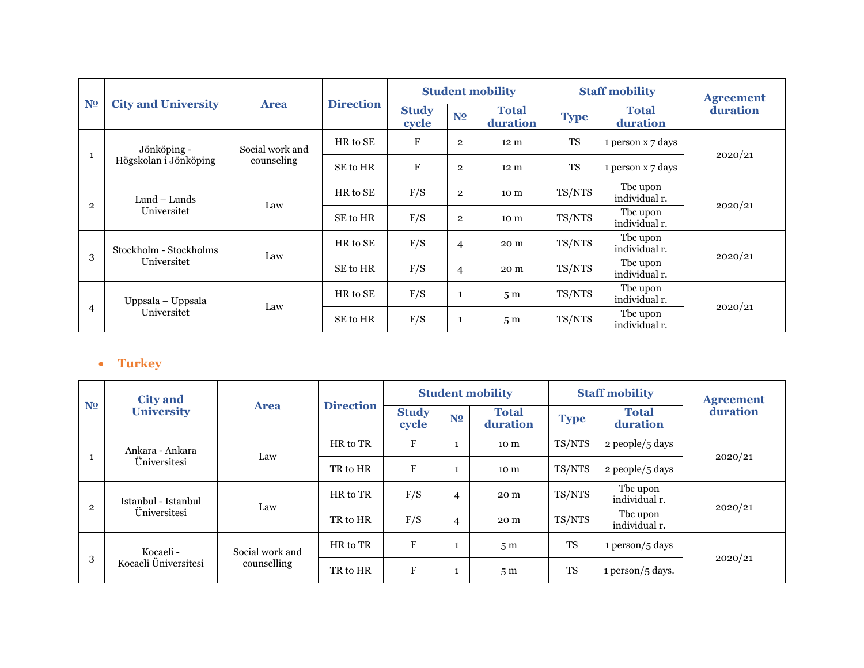|                | <b>City and University</b>            |                 |                  |                       |                | <b>Student mobility</b>  |             | <b>Staff mobility</b>     | <b>Agreement</b> |  |
|----------------|---------------------------------------|-----------------|------------------|-----------------------|----------------|--------------------------|-------------|---------------------------|------------------|--|
| N <sub>2</sub> |                                       | <b>Area</b>     | <b>Direction</b> | <b>Study</b><br>cycle | N <sub>2</sub> | <b>Total</b><br>duration | <b>Type</b> | <b>Total</b><br>duration  | duration         |  |
| $\mathbf{1}$   | Jönköping -                           | Social work and | HR to SE         | F                     | $\overline{2}$ | 12 <sub>m</sub>          | <b>TS</b>   | 1 person x 7 days         | 2020/21          |  |
|                | Högskolan i Jönköping                 | counseling      | SE to HR         | F                     | $\overline{2}$ | 12 <sub>m</sub>          | <b>TS</b>   | 1 person x 7 days         |                  |  |
|                | Lund – Lunds<br>Universitet           | Law             | HR to SE         | F/S                   | $\overline{2}$ | 10 m                     | TS/NTS      | The upon<br>individual r. | 2020/21          |  |
| $\overline{2}$ |                                       |                 | SE to HR         | F/S                   | $\overline{2}$ | 10 m                     | TS/NTS      | The upon<br>individual r. |                  |  |
|                | Stockholm - Stockholms<br>Universitet | Law             | HR to SE         | F/S                   | $\overline{4}$ | 20 m                     | TS/NTS      | The upon<br>individual r. |                  |  |
| 3              |                                       |                 | SE to HR         | F/S                   | $\overline{4}$ | 20 m                     | TS/NTS      | The upon<br>individual r. | 2020/21          |  |
|                | Uppsala – Uppsala<br>Universitet      |                 | HR to SE         | F/S                   | 1              | 5 <sub>m</sub>           | TS/NTS      | The upon<br>individual r. |                  |  |
| $\overline{4}$ |                                       | Law             | SE to HR         | F/S                   |                | 5 <sub>m</sub>           | TS/NTS      | The upon<br>individual r. | 2020/21          |  |

## • **Turkey**

| N <sub>2</sub> | <b>City and</b><br><b>University</b>              |                                |                  |                       |                | <b>Student mobility</b>  | <b>Staff mobility</b> |                           | <b>Agreement</b> |  |
|----------------|---------------------------------------------------|--------------------------------|------------------|-----------------------|----------------|--------------------------|-----------------------|---------------------------|------------------|--|
|                |                                                   | <b>Area</b>                    | <b>Direction</b> | <b>Study</b><br>cycle | N <sub>2</sub> | <b>Total</b><br>duration | <b>Type</b>           | <b>Total</b><br>duration  | duration         |  |
|                | Ankara - Ankara                                   | Law                            | HR to TR         | $\mathbf F$           |                | 10 m                     | TS/NTS                | 2 people/5 days           | 2020/21          |  |
|                | <i><u>Universitesi</u></i>                        |                                | TR to HR         | $\mathbf F$           |                | 10 <sub>m</sub>          | TS/NTS                | 2 people/5 days           |                  |  |
| $\overline{2}$ | Istanbul - Istanbul<br><i><u>Universitesi</u></i> | Law                            | HR to TR         | F/S                   | 4              | 20 m                     | TS/NTS                | The upon<br>individual r. |                  |  |
|                |                                                   |                                | TR to HR         | F/S                   | 4              | 20 m                     | TS/NTS                | Tbc upon<br>individual r. | 2020/21          |  |
| 3              | Kocaeli -<br>Kocaeli Üniversitesi                 | Social work and<br>counselling | HR to TR         | ${\bf F}$             |                | 5 <sub>m</sub>           | <b>TS</b>             | $1$ person/ $5$ days      |                  |  |
|                |                                                   |                                | TR to HR         | $\mathbf F$           |                | 5 <sub>m</sub>           | <b>TS</b>             | $1$ person/ $5$ days.     | 2020/21          |  |